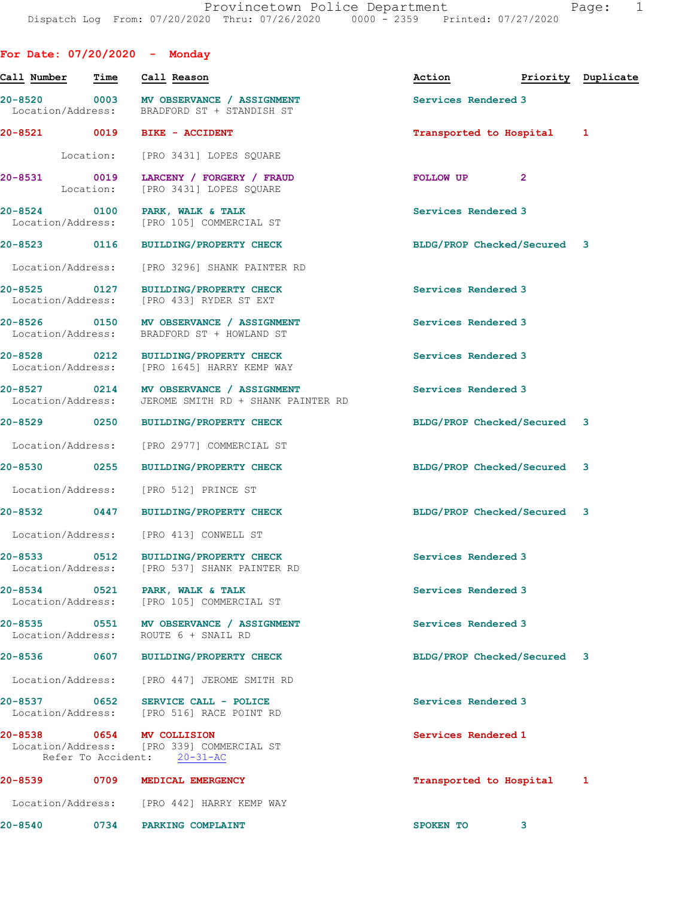For Date: 07/20/2020 - Monday

| Call Number                       | <b>Time</b> | Call Reason                                                                                     | Action                      | Priority Duplicate |   |
|-----------------------------------|-------------|-------------------------------------------------------------------------------------------------|-----------------------------|--------------------|---|
| Location/Address:                 |             | 20-8520 0003 MV OBSERVANCE / ASSIGNMENT<br>BRADFORD ST + STANDISH ST                            | Services Rendered 3         |                    |   |
| 20-8521 0019                      |             | <b>BIKE - ACCIDENT</b>                                                                          | Transported to Hospital     |                    | 1 |
|                                   | Location:   | [PRO 3431] LOPES SQUARE                                                                         |                             |                    |   |
| 20-8531                           | Location:   | 0019 LARCENY / FORGERY / FRAUD<br>[PRO 3431] LOPES SQUARE                                       | FOLLOW UP                   | $\overline{2}$     |   |
| 20-8524 0100                      |             | PARK, WALK & TALK<br>Location/Address: [PRO 105] COMMERCIAL ST                                  | Services Rendered 3         |                    |   |
| 20-8523 0116                      |             | BUILDING/PROPERTY CHECK                                                                         | BLDG/PROP Checked/Secured 3 |                    |   |
| Location/Address:                 |             | [PRO 3296] SHANK PAINTER RD                                                                     |                             |                    |   |
| 20-8525 0127<br>Location/Address: |             | <b>BUILDING/PROPERTY CHECK</b><br>[PRO 433] RYDER ST EXT                                        | Services Rendered 3         |                    |   |
| 20-8526 0150                      |             | MV OBSERVANCE / ASSIGNMENT<br>Location/Address: BRADFORD ST + HOWLAND ST                        | Services Rendered 3         |                    |   |
|                                   |             | 20-8528 0212 BUILDING/PROPERTY CHECK<br>Location/Address: [PRO 1645] HARRY KEMP WAY             | Services Rendered 3         |                    |   |
|                                   |             | 20-8527 0214 MV OBSERVANCE / ASSIGNMENT<br>Location/Address: JEROME SMITH RD + SHANK PAINTER RD | Services Rendered 3         |                    |   |
| 20-8529 0250                      |             | <b>BUILDING/PROPERTY CHECK</b>                                                                  | BLDG/PROP Checked/Secured 3 |                    |   |
| Location/Address:                 |             | [PRO 2977] COMMERCIAL ST                                                                        |                             |                    |   |
| 20-8530 0255                      |             | BUILDING/PROPERTY CHECK                                                                         | BLDG/PROP Checked/Secured 3 |                    |   |
| Location/Address:                 |             | [PRO 512] PRINCE ST                                                                             |                             |                    |   |
| 20-8532 0447                      |             | <b>BUILDING/PROPERTY CHECK</b>                                                                  | BLDG/PROP Checked/Secured 3 |                    |   |
|                                   |             | Location/Address: [PRO 413] CONWELL ST                                                          |                             |                    |   |
| $20 - 8533$                       | 0512        | <b>BUILDING/PROPERTY CHECK</b><br>Location/Address: [PRO 537] SHANK PAINTER RD                  | Services Rendered 3         |                    |   |
| $20 - 8534$                       |             | 0521 PARK, WALK & TALK<br>Location/Address: [PRO 105] COMMERCIAL ST                             | Services Rendered 3         |                    |   |
| Location/Address:                 |             | 20-8535 0551 MV OBSERVANCE / ASSIGNMENT<br>ROUTE 6 + SNAIL RD                                   | Services Rendered 3         |                    |   |
| 20-8536                           |             | 0607 BUILDING/PROPERTY CHECK                                                                    | BLDG/PROP Checked/Secured 3 |                    |   |
|                                   |             | Location/Address: [PRO 447] JEROME SMITH RD                                                     |                             |                    |   |
|                                   |             | 20-8537 0652 SERVICE CALL - POLICE<br>Location/Address: [PRO 516] RACE POINT RD                 | Services Rendered 3         |                    |   |
| 20-8538 0654 MV COLLISION         |             | Location/Address: [PRO 339] COMMERCIAL ST<br>Refer To Accident: 20-31-AC                        | Services Rendered 1         |                    |   |
| 20-8539 20-                       | 0709        | MEDICAL EMERGENCY                                                                               | Transported to Hospital     |                    | 1 |
|                                   |             | Location/Address: [PRO 442] HARRY KEMP WAY                                                      |                             |                    |   |
| $20 - 8540$                       |             | 0734 PARKING COMPLAINT                                                                          | <b>SPOKEN TO</b>            | 3                  |   |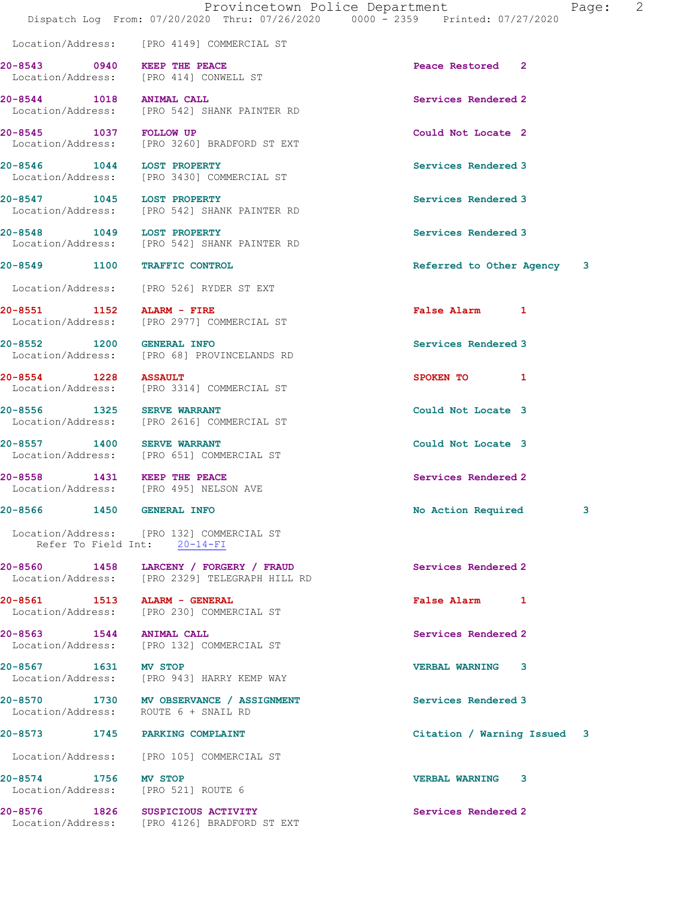Location/Address: [PRO 4149] COMMERCIAL ST

20-8543 0940 KEEP THE PEACE **Peace Restored** 2 Location/Address: [PRO 414] CONWELL ST

20-8544 1018 ANIMAL CALL 20-8544 Services Rendered 2

 Location/Address: [PRO 132] COMMERCIAL ST Refer To Field Int: 20-14-FI

20-8574 1756 MV STOP VERBAL WARNING 3 Location/Address: [PRO 521] ROUTE 6

 Location/Address: [PRO 542] SHANK PAINTER RD 20-8545 1037 FOLLOW UP Could Not Locate 2 Location/Address: [PRO 3260] BRADFORD ST EXT

20-8546 1044 LOST PROPERTY Services Rendered 3 Location/Address: [PRO 3430] COMMERCIAL ST

20-8547 1045 LOST PROPERTY Services Rendered 3 Location/Address: [PRO 542] SHANK PAINTER RD

20-8548 1049 LOST PROPERTY **Services Rendered 3** Location/Address: [PRO 542] SHANK PAINTER RD

Location/Address: [PRO 526] RYDER ST EXT

20-8551 1152 ALARM - FIRE False Alarm 1 Location/Address: [PRO 2977] COMMERCIAL ST

20-8552 1200 GENERAL INFO 30 Services Rendered 3 Location/Address: [PRO 68] PROVINCELANDS RD

20-8554 1228 ASSAULT SPOKEN TO 1 Location/Address: [PRO 3314] COMMERCIAL ST

20-8556 1325 SERVE WARRANT Could Not Locate 3 Location/Address: [PRO 2616] COMMERCIAL ST

20-8557 1400 SERVE WARRANT Could Not Locate 3 Location/Address: [PRO 651] COMMERCIAL ST

20-8558 1431 KEEP THE PEACE Services Rendered 2 Location/Address: [PRO 495] NELSON AVE

20-8560 1458 LARCENY / FORGERY / FRAUD Services Rendered 2 Location/Address: [PRO 2329] TELEGRAPH HILL RD

20-8561 1513 ALARM - GENERAL 120 - Salse Alarm 1 Location/Address: [PRO 230] COMMERCIAL ST

20-8563 1544 ANIMAL CALL 20-8563 Services Rendered 2 Location/Address: [PRO 132] COMMERCIAL ST

20-8567 1631 MV STOP VERBAL WARNING 3 Location/Address: [PRO 943] HARRY KEMP WAY

20-8570 1730 MV OBSERVANCE / ASSIGNMENT Services Rendered 3 Location/Address: ROUTE 6 + SNAIL RD

Location/Address: [PRO 105] COMMERCIAL ST

20-8576 1826 SUSPICIOUS ACTIVITY Services Rendered 2 Location/Address: [PRO 4126] BRADFORD ST EXT

20-8549 1100 TRAFFIC CONTROL 100 120 Referred to Other Agency 3

20-8566 1450 GENERAL INFO 20-8566 No Action Required 3

20-8573 1745 PARKING COMPLAINT Citation / Warning Issued 3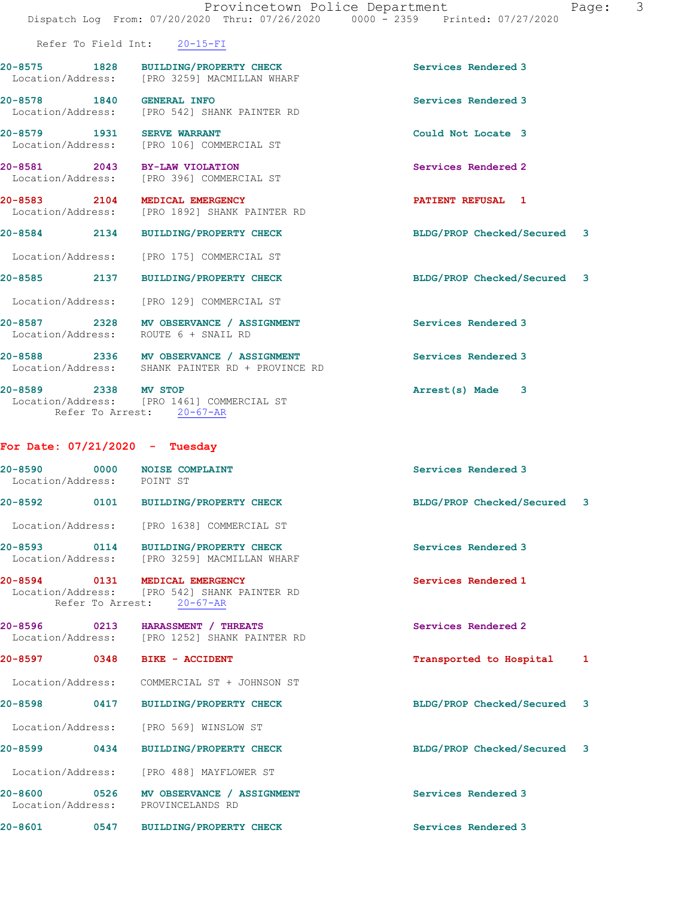|                                  | Provincetown Police Department                                                              | Page:<br>Dispatch Log From: 07/20/2020 Thru: 07/26/2020 0000 - 2359 Printed: 07/27/2020 | 3 |
|----------------------------------|---------------------------------------------------------------------------------------------|-----------------------------------------------------------------------------------------|---|
|                                  | Refer To Field Int: 20-15-FI                                                                |                                                                                         |   |
|                                  |                                                                                             |                                                                                         |   |
|                                  | 20-8575 1828 BUILDING/PROPERTY CHECK<br>Location/Address: [PRO 3259] MACMILLAN WHARF        | Services Rendered 3                                                                     |   |
| 20-8578 1840 GENERAL INFO        | Location/Address: [PRO 542] SHANK PAINTER RD                                                | Services Rendered 3                                                                     |   |
|                                  | 20-8579 1931 SERVE WARRANT<br>Location/Address: [PRO 106] COMMERCIAL ST                     | Could Not Locate 3                                                                      |   |
| 20-8581 2043 BY-LAW VIOLATION    | Location/Address: [PRO 396] COMMERCIAL ST                                                   | Services Rendered 2                                                                     |   |
| 20-8583 2104 MEDICAL EMERGENCY   | Location/Address: [PRO 1892] SHANK PAINTER RD                                               | PATIENT REFUSAL 1                                                                       |   |
|                                  | 20-8584 2134 BUILDING/PROPERTY CHECK                                                        | BLDG/PROP Checked/Secured 3                                                             |   |
|                                  | Location/Address: [PRO 175] COMMERCIAL ST                                                   |                                                                                         |   |
|                                  | 20-8585 2137 BUILDING/PROPERTY CHECK                                                        | BLDG/PROP Checked/Secured 3                                                             |   |
|                                  | Location/Address: [PRO 129] COMMERCIAL ST                                                   |                                                                                         |   |
|                                  | 20-8587 2328 MV OBSERVANCE / ASSIGNMENT<br>Location/Address: ROUTE 6 + SNAIL RD             | <b>Services Rendered 3</b>                                                              |   |
|                                  | 20-8588 2336 MV OBSERVANCE / ASSIGNMENT<br>Location/Address: SHANK PAINTER RD + PROVINCE RD | Services Rendered 3                                                                     |   |
| 20-8589 2338 MV STOP             | Location/Address: [PRO 1461] COMMERCIAL ST<br>Refer To Arrest: 20-67-AR                     | Arrest(s) Made 3                                                                        |   |
| For Date: $07/21/2020$ - Tuesday |                                                                                             |                                                                                         |   |
|                                  |                                                                                             |                                                                                         |   |

| 20-8590 0000<br>Location/Address: POINT ST | <b>NOISE COMPLAINT</b>                                                                                      | Services Rendered 3         |   |
|--------------------------------------------|-------------------------------------------------------------------------------------------------------------|-----------------------------|---|
|                                            | 20-8592 0101 BUILDING/PROPERTY CHECK                                                                        | BLDG/PROP Checked/Secured 3 |   |
|                                            | Location/Address: [PRO 1638] COMMERCIAL ST                                                                  |                             |   |
|                                            | 20-8593 0114 BUILDING/PROPERTY CHECK<br>Location/Address: [PRO 3259] MACMILLAN WHARF                        | Services Rendered 3         |   |
|                                            | 20-8594 0131 MEDICAL EMERGENCY<br>Location/Address: [PRO 542] SHANK PAINTER RD<br>Refer To Arrest: 20-67-AR | Services Rendered 1         |   |
|                                            | 20-8596 0213 HARASSMENT / THREATS<br>Location/Address: [PRO 1252] SHANK PAINTER RD                          | Services Rendered 2         |   |
| 20-8597 0348                               | <b>BIKE - ACCIDENT</b>                                                                                      | Transported to Hospital     | 1 |
|                                            | Location/Address: COMMERCIAL ST + JOHNSON ST                                                                |                             |   |
| 20-8598 0417                               | <b>BUILDING/PROPERTY CHECK</b>                                                                              | BLDG/PROP Checked/Secured 3 |   |
|                                            | Location/Address: [PRO 569] WINSLOW ST                                                                      |                             |   |
| 20-8599 0434                               | <b>BUILDING/PROPERTY CHECK</b>                                                                              | BLDG/PROP Checked/Secured 3 |   |
|                                            | Location/Address: [PRO 488] MAYFLOWER ST                                                                    |                             |   |
|                                            | 20-8600 0526 MV OBSERVANCE / ASSIGNMENT<br>Location/Address: PROVINCELANDS RD                               | Services Rendered 3         |   |
| $20 - 8601$                                | 0547 BUILDING/PROPERTY CHECK                                                                                | Services Rendered 3         |   |
|                                            |                                                                                                             |                             |   |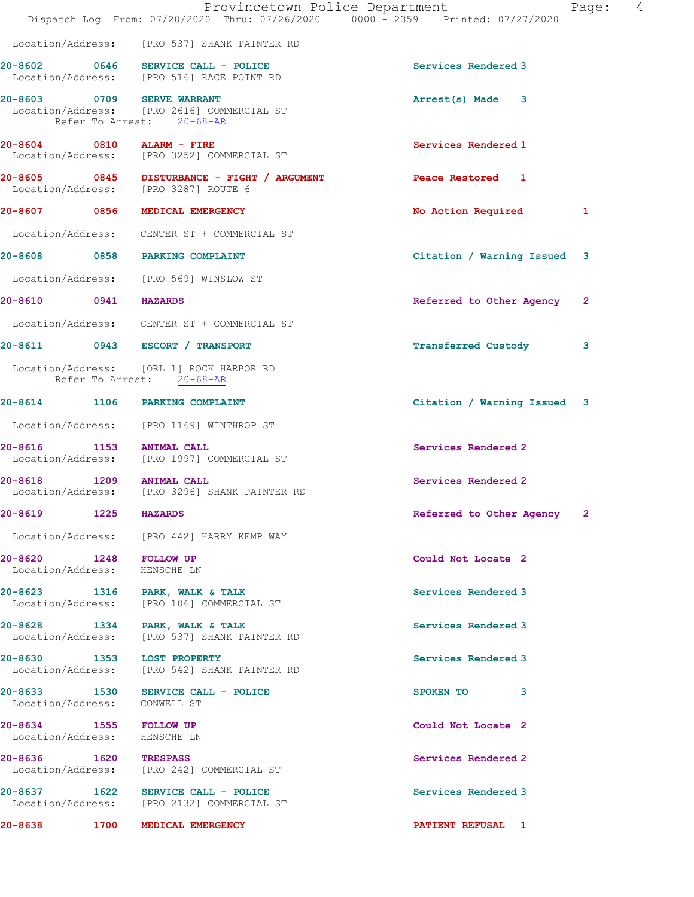|                                                        |      |                                                                                                       | Provincetown Police Department<br>4<br>Page:<br>Dispatch Log From: 07/20/2020 Thru: 07/26/2020 0000 - 2359 Printed: 07/27/2020 |  |
|--------------------------------------------------------|------|-------------------------------------------------------------------------------------------------------|--------------------------------------------------------------------------------------------------------------------------------|--|
|                                                        |      | Location/Address: [PRO 537] SHANK PAINTER RD                                                          |                                                                                                                                |  |
|                                                        |      | 20-8602 0646 SERVICE CALL - POLICE<br>Location/Address: [PRO 516] RACE POINT RD                       | Services Rendered 3                                                                                                            |  |
|                                                        |      | 20-8603 0709 SERVE WARRANT<br>Location/Address: [PRO 2616] COMMERCIAL ST<br>Refer To Arrest: 20-68-AR | Arrest(s) Made 3                                                                                                               |  |
|                                                        |      | 20-8604 0810 ALARM - FIRE<br>Location/Address: [PRO 3252] COMMERCIAL ST                               | Services Rendered 1                                                                                                            |  |
|                                                        |      | 20-8605 0845 DISTURBANCE - FIGHT / ARGUMENT<br>Location/Address: [PRO 3287] ROUTE 6                   | Peace Restored 1                                                                                                               |  |
|                                                        |      | 20-8607 0856 MEDICAL EMERGENCY                                                                        | No Action Required<br>1                                                                                                        |  |
|                                                        |      | Location/Address: CENTER ST + COMMERCIAL ST                                                           |                                                                                                                                |  |
|                                                        |      | 20-8608 0858 PARKING COMPLAINT                                                                        | Citation / Warning Issued 3                                                                                                    |  |
|                                                        |      | Location/Address: [PRO 569] WINSLOW ST                                                                |                                                                                                                                |  |
| 20-8610 0941 HAZARDS                                   |      |                                                                                                       | Referred to Other Agency<br>$\mathbf{2}$                                                                                       |  |
|                                                        |      | Location/Address: CENTER ST + COMMERCIAL ST                                                           |                                                                                                                                |  |
|                                                        |      | 20-8611 0943 ESCORT / TRANSPORT                                                                       | <b>Transferred Custody</b><br>3                                                                                                |  |
|                                                        |      | Location/Address: [ORL 1] ROCK HARBOR RD<br>Refer To Arrest: 20-68-AR                                 |                                                                                                                                |  |
|                                                        |      | 20-8614 1106 PARKING COMPLAINT                                                                        | Citation / Warning Issued 3                                                                                                    |  |
|                                                        |      | Location/Address: [PRO 1169] WINTHROP ST                                                              |                                                                                                                                |  |
| 20-8616                                                |      | 1153 ANIMAL CALL<br>Location/Address: [PRO 1997] COMMERCIAL ST                                        | Services Rendered 2                                                                                                            |  |
| 20-8618 1209 ANIMAL CALL                               |      | Location/Address: [PRO 3296] SHANK PAINTER RD                                                         | Services Rendered 2                                                                                                            |  |
| $20 - 8619$                                            | 1225 | <b>HAZARDS</b>                                                                                        | Referred to Other Agency<br>2                                                                                                  |  |
|                                                        |      | Location/Address: [PRO 442] HARRY KEMP WAY                                                            |                                                                                                                                |  |
| 20-8620 1248 FOLLOW UP<br>Location/Address: HENSCHE LN |      |                                                                                                       | Could Not Locate 2                                                                                                             |  |
|                                                        |      | 20-8623 1316 PARK, WALK & TALK<br>Location/Address: [PRO 106] COMMERCIAL ST                           | Services Rendered 3                                                                                                            |  |
|                                                        |      | 20-8628 1334 PARK, WALK & TALK<br>Location/Address: [PRO 537] SHANK PAINTER RD                        | Services Rendered 3                                                                                                            |  |
|                                                        |      | 20-8630 1353 LOST PROPERTY<br>Location/Address: [PRO 542] SHANK PAINTER RD                            | Services Rendered 3                                                                                                            |  |
| Location/Address: CONWELL ST                           |      | 20-8633 1530 SERVICE CALL - POLICE                                                                    | SPOKEN TO<br>3                                                                                                                 |  |
| 20-8634 1555 FOLLOW UP<br>Location/Address: HENSCHE LN |      |                                                                                                       | Could Not Locate 2                                                                                                             |  |
| 20-8636 1620 TRESPASS                                  |      | Location/Address: [PRO 242] COMMERCIAL ST                                                             | Services Rendered 2                                                                                                            |  |
|                                                        |      | 20-8637 1622 SERVICE CALL - POLICE<br>Location/Address: [PRO 2132] COMMERCIAL ST                      | Services Rendered 3                                                                                                            |  |
|                                                        |      | 20-8638 1700 MEDICAL EMERGENCY                                                                        | <b>PATIENT REFUSAL 1</b>                                                                                                       |  |
|                                                        |      |                                                                                                       |                                                                                                                                |  |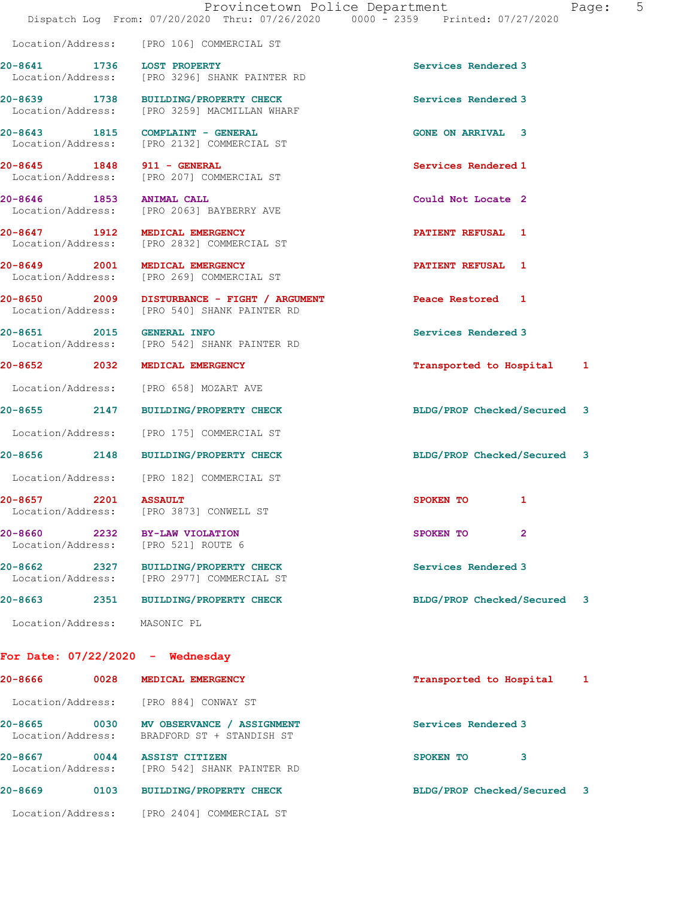|                                    | Location/Address: [PRO 106] COMMERCIAL ST                                            |                             |              |   |
|------------------------------------|--------------------------------------------------------------------------------------|-----------------------------|--------------|---|
| 20-8641 1736 LOST PROPERTY         | Location/Address: [PRO 3296] SHANK PAINTER RD                                        | Services Rendered 3         |              |   |
|                                    | 20-8639 1738 BUILDING/PROPERTY CHECK<br>Location/Address: [PRO 3259] MACMILLAN WHARF | Services Rendered 3         |              |   |
|                                    | 20-8643 1815 COMPLAINT - GENERAL<br>Location/Address: [PRO 2132] COMMERCIAL ST       | <b>GONE ON ARRIVAL 3</b>    |              |   |
| 20-8645 1848 911 - GENERAL         | Location/Address: [PRO 207] COMMERCIAL ST                                            | Services Rendered 1         |              |   |
| 20-8646 1853 ANIMAL CALL           | Location/Address: [PRO 2063] BAYBERRY AVE                                            | Could Not Locate 2          |              |   |
|                                    | 20-8647 1912 MEDICAL EMERGENCY<br>Location/Address: [PRO 2832] COMMERCIAL ST         | PATIENT REFUSAL 1           |              |   |
|                                    | 20-8649 2001 MEDICAL EMERGENCY<br>Location/Address: [PRO 269] COMMERCIAL ST          | PATIENT REFUSAL 1           |              |   |
|                                    |                                                                                      | Peace Restored 1            |              |   |
| 20-8651 2015 GENERAL INFO          | Location/Address: [PRO 542] SHANK PAINTER RD                                         | Services Rendered 3         |              |   |
|                                    | 20-8652 2032 MEDICAL EMERGENCY                                                       | Transported to Hospital     |              | 1 |
|                                    | Location/Address: [PRO 658] MOZART AVE                                               |                             |              |   |
|                                    | 20-8655 2147 BUILDING/PROPERTY CHECK                                                 | BLDG/PROP Checked/Secured   |              | 3 |
|                                    | Location/Address: [PRO 175] COMMERCIAL ST                                            |                             |              |   |
|                                    | 20-8656 2148 BUILDING/PROPERTY CHECK                                                 | BLDG/PROP Checked/Secured 3 |              |   |
|                                    | Location/Address: [PRO 182] COMMERCIAL ST                                            |                             |              |   |
| 20-8657 2201 ASSAULT               | Location/Address: [PRO 3873] CONWELL ST                                              | SPOKEN TO                   | $\mathbf{1}$ |   |
|                                    | 20-8660 2232 BY-LAW VIOLATION<br>Location/Address: [PRO 521] ROUTE 6                 | SPOKEN TO                   | 2            |   |
|                                    | 20-8662 2327 BUILDING/PROPERTY CHECK<br>Location/Address: [PRO 2977] COMMERCIAL ST   | Services Rendered 3         |              |   |
|                                    | 20-8663 2351 BUILDING/PROPERTY CHECK                                                 | BLDG/PROP Checked/Secured   |              | 3 |
| Location/Address: MASONIC PL       |                                                                                      |                             |              |   |
| For Date: $07/22/2020 -$ Wednesday |                                                                                      |                             |              |   |
|                                    | 20-8666 0028 MEDICAL EMERGENCY                                                       | Transported to Hospital     |              | 1 |
|                                    | Location/Address: [PRO 884] CONWAY ST                                                |                             |              |   |
| 20-8665                            | 0030 MV OBSERVANCE / ASSIGNMENT<br>Location/Address: BRADFORD ST + STANDISH ST       | Services Rendered 3         |              |   |
| 20-8667                            | 0044 ASSIST CITIZEN                                                                  | SPOKEN TO                   | 3            |   |

Dispatch Log From: 07/20/2020 Thru: 07/26/2020 0000 - 2359 Printed: 07/27/2020

Provincetown Police Department Fage: 5

Location/Address: [PRO 542] SHANK PAINTER RD

20-8669 0103 BUILDING/PROPERTY CHECK BLDG/PROP Checked/Secured 3

Location/Address: [PRO 2404] COMMERCIAL ST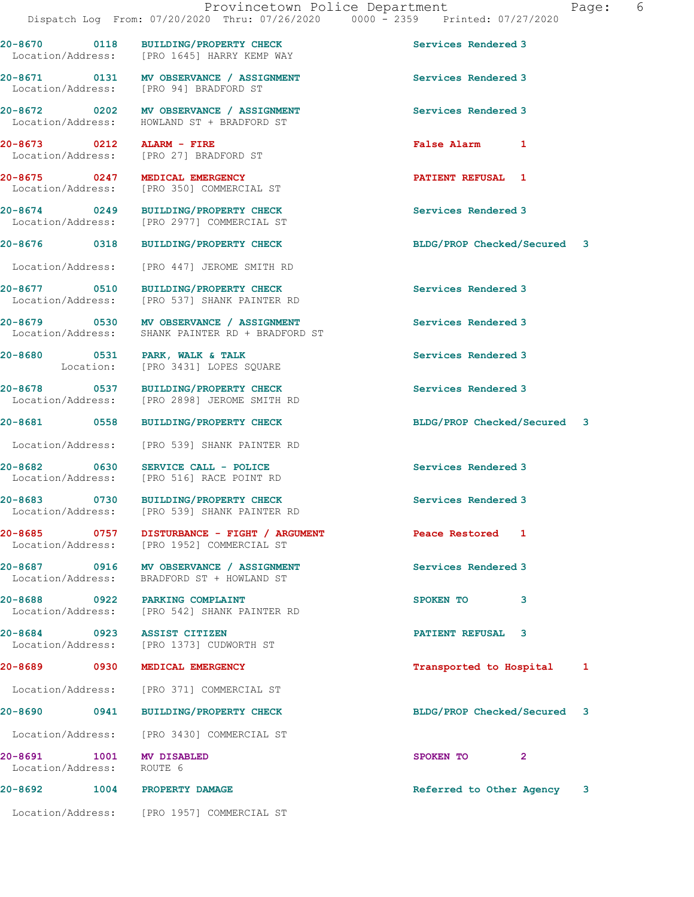20-8670 0118 BUILDING/PROPERTY CHECK Services Rendered 3

Location/Address: [PRO 1645] HARRY KEMP WAY

Location/Address: HOWLAND ST + BRADFORD ST

Location/Address: [PRO 350] COMMERCIAL ST

[PRO 27] BRADFORD ST

Location/Address: [PRO 94] BRADFORD ST

20-8674 0249 BUILDING/PROPERTY CHECK Services Rendered 3 Location/Address: [PRO 2977] COMMERCIAL ST 20-8676 0318 BUILDING/PROPERTY CHECK BLDG/PROP Checked/Secured 3 Location/Address: [PRO 447] JEROME SMITH RD 20-8677 0510 BUILDING/PROPERTY CHECK Services Rendered 3 Location/Address: [PRO 537] SHANK PAINTER RD 20-8679 0530 MV OBSERVANCE / ASSIGNMENT Services Rendered 3 Location/Address: SHANK PAINTER RD + BRADFORD ST 20-8680 0531 PARK, WALK & TALK Services Rendered 3 Location: [PRO 3431] LOPES SQUARE 20-8678 0537 BUILDING/PROPERTY CHECK Services Rendered 3 Location/Address: [PRO 2898] JEROME SMITH RD 20-8681 0558 BUILDING/PROPERTY CHECK BLDG/PROP Checked/Secured 3 Location/Address: [PRO 539] SHANK PAINTER RD 20-8682 0630 SERVICE CALL - POLICE 3 Services Rendered 3<br>
Location/Address: [PRO 516] RACE POINT RD [PRO 516] RACE POINT RD 20-8683 0730 BUILDING/PROPERTY CHECK Services Rendered 3 Location/Address: [PRO 539] SHANK PAINTER RD 20-8685 0757 DISTURBANCE - FIGHT / ARGUMENT Peace Restored 1 Location/Address: [PRO 1952] COMMERCIAL ST 20-8687 0916 MV OBSERVANCE / ASSIGNMENT Services Rendered 3 Location/Address: BRADFORD ST + HOWLAND ST

20-8688 0922 PARKING COMPLAINT SPOKEN TO 3 Location/Address: [PRO 542] SHANK PAINTER RD

20-8684 0923 ASSIST CITIZEN **PATIENT REFUSAL** 3 Location/Address: [PRO 1373] CUDWORTH ST

Location/Address: [PRO 371] COMMERCIAL ST

Location/Address: [PRO 3430] COMMERCIAL ST

Location/Address: ROUTE 6

Location/Address: [PRO 1957] COMMERCIAL ST

20-8671 0131 MV OBSERVANCE / ASSIGNMENT Services Rendered 3

20-8672 0202 MV OBSERVANCE / ASSIGNMENT Services Rendered 3

20-8673 0212 ALARM - FIRE False Alarm 1

20-8675 0247 MEDICAL EMERGENCY PATIENT REFUSAL 1

20-8689 0930 MEDICAL EMERGENCY Transported to Hospital 1

20-8690 0941 BUILDING/PROPERTY CHECK BLDG/PROP Checked/Secured 3

20-8691 1001 MV DISABLED SPOKEN TO 2

20-8692 1004 PROPERTY DAMAGE 20 PROPERTY REFERRED REFERRED REFERRED REFERRED 3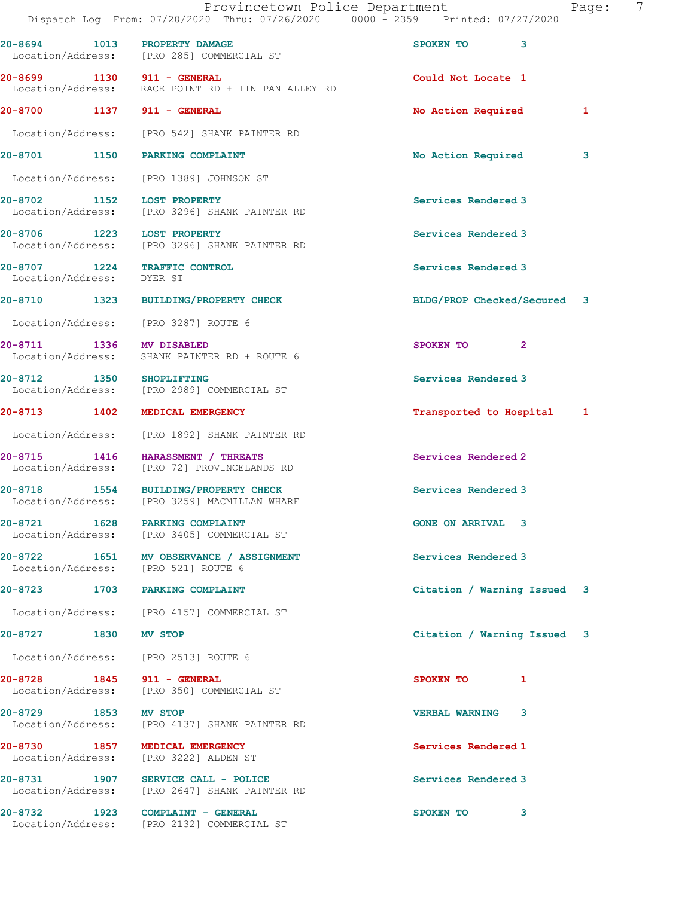|                                                           | Provincetown Police Department<br>Dispatch Log From: 07/20/2020 Thru: 07/26/2020 0000 - 2359 Printed: 07/27/2020 | Page:                       | 7 |
|-----------------------------------------------------------|------------------------------------------------------------------------------------------------------------------|-----------------------------|---|
| 20-8694 1013 PROPERTY DAMAGE                              | Location/Address: [PRO 285] COMMERCIAL ST                                                                        | SPOKEN TO 3                 |   |
|                                                           | 20-8699 1130 911 - GENERAL<br>Location/Address: RACE POINT RD + TIN PAN ALLEY RD                                 | Could Not Locate 1          |   |
| 20-8700 1137 911 - GENERAL                                |                                                                                                                  | No Action Required<br>1     |   |
|                                                           | Location/Address: [PRO 542] SHANK PAINTER RD                                                                     |                             |   |
|                                                           | 20-8701 1150 PARKING COMPLAINT                                                                                   | No Action Required<br>3     |   |
|                                                           | Location/Address: [PRO 1389] JOHNSON ST                                                                          |                             |   |
| 20-8702 1152 LOST PROPERTY                                | Location/Address: [PRO 3296] SHANK PAINTER RD                                                                    | Services Rendered 3         |   |
|                                                           | 20-8706 1223 LOST PROPERTY<br>  Location/Address: [PRO 3296] SHANK PAINTER RD                                    | Services Rendered 3         |   |
| 20-8707 1224 TRAFFIC CONTROL<br>Location/Address: DYER ST |                                                                                                                  | Services Rendered 3         |   |
|                                                           | 20-8710 1323 BUILDING/PROPERTY CHECK                                                                             | BLDG/PROP Checked/Secured 3 |   |
|                                                           | Location/Address: [PRO 3287] ROUTE 6                                                                             |                             |   |
| 20-8711 1336 MV DISABLED                                  | Location/Address: SHANK PAINTER RD + ROUTE 6                                                                     | SPOKEN TO<br>$\mathbf{2}$   |   |
| 20-8712 1350 SHOPLIFTING                                  | Location/Address: [PRO 2989] COMMERCIAL ST                                                                       | Services Rendered 3         |   |
|                                                           | 20-8713 1402 MEDICAL EMERGENCY                                                                                   | Transported to Hospital 1   |   |
|                                                           | Location/Address: [PRO 1892] SHANK PAINTER RD                                                                    |                             |   |
|                                                           | 20-8715 1416 HARASSMENT / THREATS<br>Location/Address: [PRO 72] PROVINCELANDS RD                                 | Services Rendered 2         |   |
|                                                           | 20-8718 1554 BUILDING/PROPERTY CHECK<br>Location/Address: [PRO 3259] MACMILLAN WHARF                             | Services Rendered 3         |   |
|                                                           | 20-8721 1628 PARKING COMPLAINT<br>Location/Address: [PRO 3405] COMMERCIAL ST                                     | <b>GONE ON ARRIVAL 3</b>    |   |
| Location/Address: [PRO 521] ROUTE 6                       | 20-8722 1651 MV OBSERVANCE / ASSIGNMENT                                                                          | Services Rendered 3         |   |
|                                                           | 20-8723 1703 PARKING COMPLAINT                                                                                   | Citation / Warning Issued 3 |   |
|                                                           | Location/Address: [PRO 4157] COMMERCIAL ST                                                                       |                             |   |
| 20-8727 1830 MV STOP                                      |                                                                                                                  | Citation / Warning Issued 3 |   |
|                                                           | Location/Address: [PRO 2513] ROUTE 6                                                                             |                             |   |
| 20-8728 1845 911 - GENERAL                                | Location/Address: [PRO 350] COMMERCIAL ST                                                                        | SPOKEN TO 1                 |   |
| 20-8729 1853 MV STOP                                      | Location/Address: [PRO 4137] SHANK PAINTER RD                                                                    | <b>VERBAL WARNING 3</b>     |   |
|                                                           | 20-8730 1857 MEDICAL EMERGENCY<br>Location/Address: [PRO 3222] ALDEN ST                                          | Services Rendered 1         |   |
|                                                           | 20-8731 1907 SERVICE CALL - POLICE<br>Location/Address: [PRO 2647] SHANK PAINTER RD                              | Services Rendered 3         |   |
|                                                           | 20-8732 1923 COMPLAINT - GENERAL<br>Location/Address: [PRO 2132] COMMERCIAL ST                                   | SPOKEN TO<br>3              |   |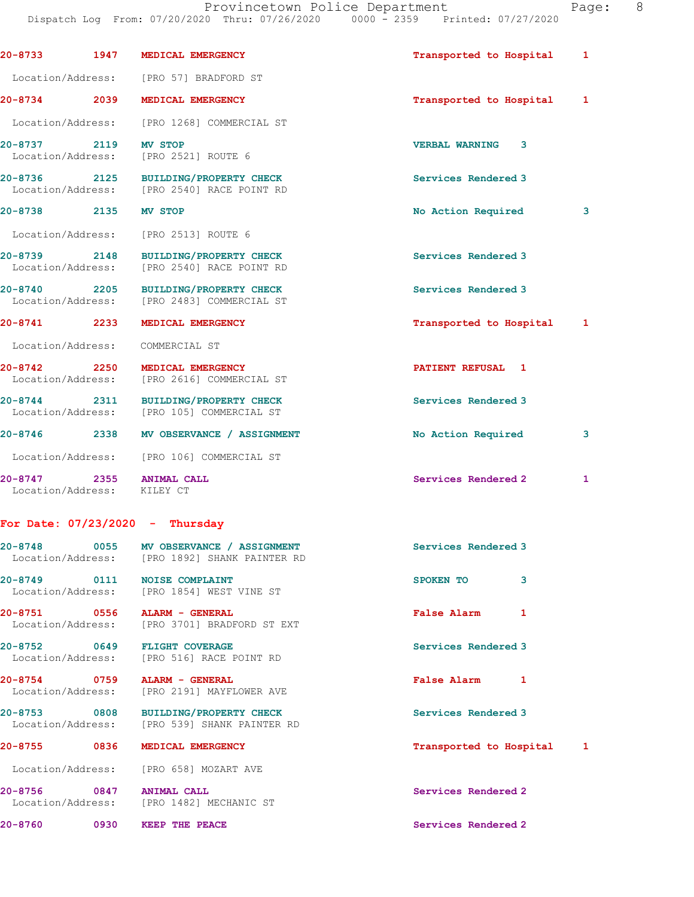Dispatch Log From: 07/20/2020 Thru: 07/26/2020 0000 - 2359 Printed: 07/27/2020 20-8733 1947 MEDICAL EMERGENCY **1947 MEDICAL EMERGENCY** 1988 1989 Transported to Hospital 1 Location/Address: [PRO 57] BRADFORD ST 20-8734 2039 MEDICAL EMERGENCY Transported to Hospital 1 Location/Address: [PRO 1268] COMMERCIAL ST 20-8737 2119 MV STOP 200 200 200 VERBAL WARNING 3 Location/Address: [PRO 2521] ROUTE 6

20-8736 2125 BUILDING/PROPERTY CHECK Services Rendered 3 Location/Address: [PRO 2540] RACE POINT RD

### 20-8738 2135 MV STOP 2008 2009 2009 No Action Required 3

Location/Address: [PRO 2513] ROUTE 6

20-8739 2148 BUILDING/PROPERTY CHECK Services Rendered 3 Location/Address: [PRO 2540] RACE POINT RD

20-8740 2205 BUILDING/PROPERTY CHECK Services Rendered 3 Location/Address: [PRO 2483] COMMERCIAL ST

20-8741 2233 MEDICAL EMERGENCY Transported to Hospital 1

Location/Address: COMMERCIAL ST

20-8742 2250 MEDICAL EMERGENCY **PATIENT REFUSAL** 1 Location/Address: [PRO 2616] COMMERCIAL ST

20-8744 2311 BUILDING/PROPERTY CHECK Services Rendered 3 Location/Address: [PRO 105] COMMERCIAL ST

20-8746 2338 MV OBSERVANCE / ASSIGNMENT No Action Required 3

Location/Address: [PRO 106] COMMERCIAL ST

Location/Address: KILEY CT

## For Date: 07/23/2020 - Thursday

|                                | 20-8748 0055 MV OBSERVANCE / ASSIGNMENT<br>Location/Address: [PRO 1892] SHANK PAINTER RD | Services Rendered 3       |
|--------------------------------|------------------------------------------------------------------------------------------|---------------------------|
| 20-8749 0111 NOISE COMPLAINT   | Location/Address: [PRO 1854] WEST VINE ST                                                | 3<br>SPOKEN TO            |
| 20-8751 0556 ALARM - GENERAL   | Location/Address: [PRO 3701] BRADFORD ST EXT                                             | 1<br><b>False Alarm</b>   |
| 20-8752 0649 FLIGHT COVERAGE   | Location/Address: [PRO 516] RACE POINT RD                                                | Services Rendered 3       |
| 20-8754 0759 ALARM - GENERAL   | Location/Address: [PRO 2191] MAYFLOWER AVE                                               | <b>False Alarm</b><br>1   |
|                                | 20-8753 0808 BUILDING/PROPERTY CHECK<br>Location/Address: [PRO 539] SHANK PAINTER RD     | Services Rendered 3       |
| 20-8755 0836 MEDICAL EMERGENCY |                                                                                          | Transported to Hospital 1 |
|                                | Location/Address: [PRO 658] MOZART AVE                                                   |                           |
| 20-8756 0847 ANIMAL CALL       | Location/Address: [PRO 1482] MECHANIC ST                                                 | Services Rendered 2       |

20-8760 0930 KEEP THE PEACE Services Rendered 2

20-8747 2355 ANIMAL CALL 20-8747 Services Rendered 2 1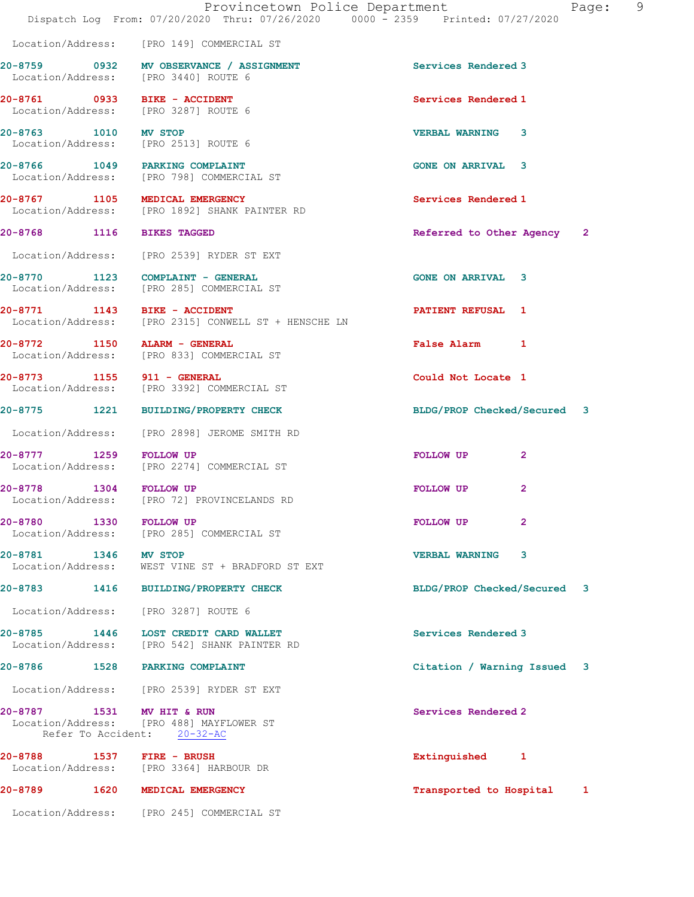|                            | Provincetown Police Department<br>Dispatch Log From: 07/20/2020 Thru: 07/26/2020 0000 - 2359 Printed: 07/27/2020 |                             | Page: 9 |
|----------------------------|------------------------------------------------------------------------------------------------------------------|-----------------------------|---------|
|                            | Location/Address: [PRO 149] COMMERCIAL ST                                                                        |                             |         |
|                            | 20-8759 0932 MV OBSERVANCE / ASSIGNMENT<br>Location/Address: [PRO 3440] ROUTE 6                                  | <b>Services Rendered 3</b>  |         |
|                            | 20-8761 0933 BIKE - ACCIDENT<br>Location/Address: [PRO 3287] ROUTE 6                                             | Services Rendered 1         |         |
| 20-8763 1010 MV STOP       | Location/Address: [PRO 2513] ROUTE 6                                                                             | <b>VERBAL WARNING 3</b>     |         |
|                            | 20-8766 1049 PARKING COMPLAINT<br>Location/Address: [PRO 798] COMMERCIAL ST                                      | <b>GONE ON ARRIVAL 3</b>    |         |
|                            | 20-8767 1105 MEDICAL EMERGENCY<br>Location/Address: [PRO 1892] SHANK PAINTER RD                                  | Services Rendered 1         |         |
| 20-8768 1116 BIKES TAGGED  |                                                                                                                  | Referred to Other Agency 2  |         |
|                            | Location/Address: [PRO 2539] RYDER ST EXT                                                                        |                             |         |
|                            | 20-8770 1123 COMPLAINT - GENERAL<br>Location/Address: [PRO 285] COMMERCIAL ST                                    | <b>GONE ON ARRIVAL 3</b>    |         |
|                            | 20-8771 1143 BIKE - ACCIDENT<br>Location/Address: [PRO 2315] CONWELL ST + HENSCHE LN                             | <b>PATIENT REFUSAL 1</b>    |         |
|                            | 20-8772 1150 ALARM - GENERAL<br>Location/Address: [PRO 833] COMMERCIAL ST                                        | False Alarm 1               |         |
| 20-8773 1155 911 - GENERAL | Location/Address: [PRO 3392] COMMERCIAL ST                                                                       | Could Not Locate 1          |         |
|                            | 20-8775 1221 BUILDING/PROPERTY CHECK                                                                             | BLDG/PROP Checked/Secured 3 |         |
|                            | Location/Address: [PRO 2898] JEROME SMITH RD                                                                     |                             |         |
| 20-8777 1259 FOLLOW UP     | Location/Address: [PRO 2274] COMMERCIAL ST                                                                       | FOLLOW UP<br>2              |         |
| 20-8778 1304 FOLLOW UP     | Location/Address: [PRO 72] PROVINCELANDS RD                                                                      | FOLLOW UP<br>$\mathbf{2}$   |         |
| 20-8780                    | 1330 FOLLOW UP<br>Location/Address: [PRO 285] COMMERCIAL ST                                                      | FOLLOW UP<br>$\mathbf{2}$   |         |
| 20-8781 1346 MV STOP       | Location/Address: WEST VINE ST + BRADFORD ST EXT                                                                 | <b>VERBAL WARNING</b><br>3  |         |
|                            | 20-8783 1416 BUILDING/PROPERTY CHECK                                                                             | BLDG/PROP Checked/Secured 3 |         |
|                            | Location/Address: [PRO 3287] ROUTE 6                                                                             |                             |         |
| 20-8785                    | 1446 LOST CREDIT CARD WALLET<br>Location/Address: [PRO 542] SHANK PAINTER RD                                     | Services Rendered 3         |         |
|                            | 20-8786 1528 PARKING COMPLAINT                                                                                   | Citation / Warning Issued 3 |         |
|                            | Location/Address: [PRO 2539] RYDER ST EXT                                                                        |                             |         |
| 20-8787                    | 1531 MV HIT & RUN<br>Location/Address: [PRO 488] MAYFLOWER ST<br>Refer To Accident: 20-32-AC                     | Services Rendered 2         |         |
|                            | 20-8788 1537 FIRE - BRUSH<br>Location/Address: [PRO 3364] HARBOUR DR                                             | Extinguished 1              |         |
|                            | 20-8789 1620 MEDICAL EMERGENCY                                                                                   | Transported to Hospital 1   |         |
|                            | Location/Address: [PRO 245] COMMERCIAL ST                                                                        |                             |         |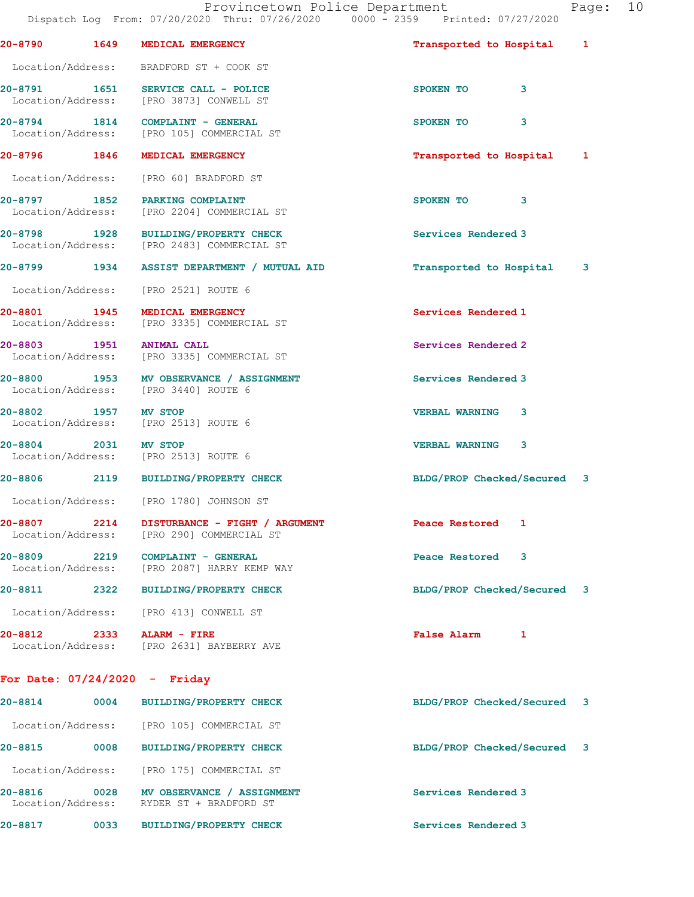|                                   |      | Provincetown Police Department<br>Dispatch Log From: 07/20/2020 Thru: 07/26/2020 0000 - 2359 Printed: 07/27/2020 |                             | Page: 10 |  |
|-----------------------------------|------|------------------------------------------------------------------------------------------------------------------|-----------------------------|----------|--|
| 20-8790 1649                      |      | MEDICAL EMERGENCY                                                                                                | Transported to Hospital 1   |          |  |
|                                   |      | Location/Address: BRADFORD ST + COOK ST                                                                          |                             |          |  |
|                                   |      | 20-8791 1651 SERVICE CALL - POLICE<br>Location/Address: [PRO 3873] CONWELL ST                                    | SPOKEN TO<br>3              |          |  |
|                                   |      | $20-8794$ 1814 COMPLAINT - GENERAL<br>Location/Address: [PRO 105] COMMERCIAL ST                                  | SPOKEN TO<br>3              |          |  |
|                                   |      | 20-8796 1846 MEDICAL EMERGENCY                                                                                   | Transported to Hospital 1   |          |  |
|                                   |      | Location/Address: [PRO 60] BRADFORD ST                                                                           |                             |          |  |
|                                   |      | 20-8797 1852 PARKING COMPLAINT<br>Location/Address: [PRO 2204] COMMERCIAL ST                                     | SPOKEN TO 3                 |          |  |
|                                   |      | 20-8798 1928 BUILDING/PROPERTY CHECK<br>Location/Address: [PRO 2483] COMMERCIAL ST                               | Services Rendered 3         |          |  |
|                                   |      | 20-8799 1934 ASSIST DEPARTMENT / MUTUAL AID                                                                      | Transported to Hospital     | 3        |  |
|                                   |      | Location/Address: [PRO 2521] ROUTE 6                                                                             |                             |          |  |
|                                   |      | 20-8801 1945 MEDICAL EMERGENCY<br>Location/Address: [PRO 3335] COMMERCIAL ST                                     | Services Rendered 1         |          |  |
|                                   |      | 20-8803 1951 ANIMAL CALL<br>Location/Address: [PRO 3335] COMMERCIAL ST                                           | Services Rendered 2         |          |  |
|                                   |      | 20-8800 1953 MV OBSERVANCE / ASSIGNMENT<br>Location/Address: [PRO 3440] ROUTE 6                                  | Services Rendered 3         |          |  |
| 20-8802 1957 MV STOP              |      | Location/Address: [PRO 2513] ROUTE 6                                                                             | <b>VERBAL WARNING</b><br>3  |          |  |
|                                   |      | 20-8804 2031 MV STOP<br>Location/Address: [PRO 2513] ROUTE 6                                                     | <b>VERBAL WARNING 3</b>     |          |  |
|                                   |      | 20-8806 2119 BUILDING/PROPERTY CHECK                                                                             | BLDG/PROP Checked/Secured 3 |          |  |
| Location/Address:                 |      | [PRO 1780] JOHNSON ST                                                                                            |                             |          |  |
| 20-8807 2214<br>Location/Address: |      | DISTURBANCE - FIGHT / ARGUMENT<br>[PRO 290] COMMERCIAL ST                                                        | Peace Restored<br>1         |          |  |
| 20-8809 2219<br>Location/Address: |      | COMPLAINT - GENERAL<br>[PRO 2087] HARRY KEMP WAY                                                                 | Peace Restored<br>3         |          |  |
| 20-8811                           | 2322 | <b>BUILDING/PROPERTY CHECK</b>                                                                                   | BLDG/PROP Checked/Secured 3 |          |  |
| Location/Address:                 |      | [PRO 413] CONWELL ST                                                                                             |                             |          |  |
|                                   |      |                                                                                                                  |                             |          |  |

Location/Address: [PRO 2631] BAYBERRY AVE

20-8812 2333 ALARM - FIRE False Alarm 1

# For Date: 07/24/2020 - Friday

| $20 - 8814$                  | 0004 | <b>BUILDING/PROPERTY CHECK</b>                       | BLDG/PROP Checked/Secured | $\overline{\mathbf{3}}$ |
|------------------------------|------|------------------------------------------------------|---------------------------|-------------------------|
| Location/Address:            |      | [PRO 105] COMMERCIAL ST                              |                           |                         |
| $20 - 8815$                  | 0008 | <b>BUILDING/PROPERTY CHECK</b>                       | BLDG/PROP Checked/Secured | $\overline{\mathbf{3}}$ |
| Location/Address:            |      | [PRO 175] COMMERCIAL ST                              |                           |                         |
| 20-8816<br>Location/Address: | 0028 | MV OBSERVANCE / ASSIGNMENT<br>RYDER ST + BRADFORD ST | Services Rendered 3       |                         |
| 20-8817                      | 0033 | <b>BUILDING/PROPERTY CHECK</b>                       | Services Rendered 3       |                         |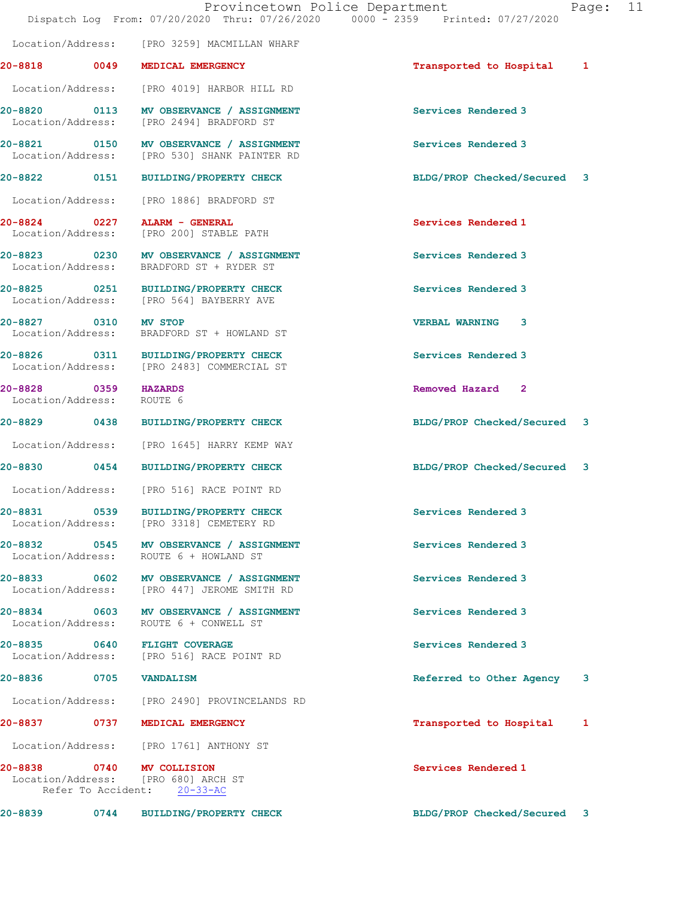|                                                   | Dispatch Log From: 07/20/2020 Thru: 07/26/2020 0000 - 2359 Printed: 07/27/2020                  | Provincetown Police Department | Page:                   | 11 |
|---------------------------------------------------|-------------------------------------------------------------------------------------------------|--------------------------------|-------------------------|----|
|                                                   | Location/Address: [PRO 3259] MACMILLAN WHARF                                                    |                                |                         |    |
|                                                   | 20-8818 0049 MEDICAL EMERGENCY                                                                  | Transported to Hospital        | 1                       |    |
|                                                   | Location/Address: [PRO 4019] HARBOR HILL RD                                                     |                                |                         |    |
|                                                   | 20-8820 0113 MV OBSERVANCE / ASSIGNMENT<br>Location/Address: [PRO 2494] BRADFORD ST             | Services Rendered 3            |                         |    |
|                                                   | 20-8821 0150 MV OBSERVANCE / ASSIGNMENT<br>Location/Address: [PRO 530] SHANK PAINTER RD         | Services Rendered 3            |                         |    |
|                                                   | 20-8822 0151 BUILDING/PROPERTY CHECK                                                            | BLDG/PROP Checked/Secured 3    |                         |    |
|                                                   | Location/Address: [PRO 1886] BRADFORD ST                                                        |                                |                         |    |
|                                                   | 20-8824 0227 ALARM - GENERAL<br>Location/Address: [PRO 200] STABLE PATH                         | Services Rendered 1            |                         |    |
|                                                   | 20-8823 0230 MV OBSERVANCE / ASSIGNMENT<br>Location/Address: BRADFORD ST + RYDER ST             | Services Rendered 3            |                         |    |
|                                                   | 20-8825 0251 BUILDING/PROPERTY CHECK<br>Location/Address: [PRO 564] BAYBERRY AVE                | Services Rendered 3            |                         |    |
| 20-8827 0310 MV STOP                              | Location/Address: BRADFORD ST + HOWLAND ST                                                      | <b>VERBAL WARNING 3</b>        |                         |    |
|                                                   | 20-8826 0311 BUILDING/PROPERTY CHECK<br>Location/Address: [PRO 2483] COMMERCIAL ST              | Services Rendered 3            |                         |    |
| 20-8828 0359 HAZARDS<br>Location/Address: ROUTE 6 |                                                                                                 | Removed Hazard 2               |                         |    |
|                                                   | 20-8829 0438 BUILDING/PROPERTY CHECK                                                            | BLDG/PROP Checked/Secured 3    |                         |    |
|                                                   | Location/Address: [PRO 1645] HARRY KEMP WAY                                                     |                                |                         |    |
|                                                   | 20-8830 0454 BUILDING/PROPERTY CHECK                                                            | BLDG/PROP Checked/Secured 3    |                         |    |
|                                                   | Location/Address: [PRO 516] RACE POINT RD                                                       |                                |                         |    |
| 20-8831                                           | 0539 BUILDING/PROPERTY CHECK<br>Location/Address: [PRO 3318] CEMETERY RD                        | Services Rendered 3            |                         |    |
|                                                   | 20-8832 0545 MV OBSERVANCE / ASSIGNMENT<br>Location/Address: ROUTE 6 + HOWLAND ST               | Services Rendered 3            |                         |    |
|                                                   | 20-8833 0602 MV OBSERVANCE / ASSIGNMENT<br>Location/Address: [PRO 447] JEROME SMITH RD          | Services Rendered 3            |                         |    |
| Location/Address:                                 | 20-8834 0603 MV OBSERVANCE / ASSIGNMENT<br>ROUTE 6 + CONWELL ST                                 | Services Rendered 3            |                         |    |
|                                                   | 20-8835 0640 FLIGHT COVERAGE<br>Location/Address: [PRO 516] RACE POINT RD                       | Services Rendered 3            |                         |    |
|                                                   | 20-8836 0705 VANDALISM                                                                          | Referred to Other Agency       | $\overline{\mathbf{3}}$ |    |
|                                                   | Location/Address: [PRO 2490] PROVINCELANDS RD                                                   |                                |                         |    |
|                                                   | 20-8837 0737 MEDICAL EMERGENCY                                                                  | Transported to Hospital        | 1                       |    |
|                                                   | Location/Address: [PRO 1761] ANTHONY ST                                                         |                                |                         |    |
|                                                   | 20-8838 0740 MV COLLISION<br>Location/Address: [PRO 680] ARCH ST<br>Refer To Accident: 20-33-AC | Services Rendered 1            |                         |    |
|                                                   | 20-8839 0744 BUILDING/PROPERTY CHECK                                                            | BLDG/PROP Checked/Secured 3    |                         |    |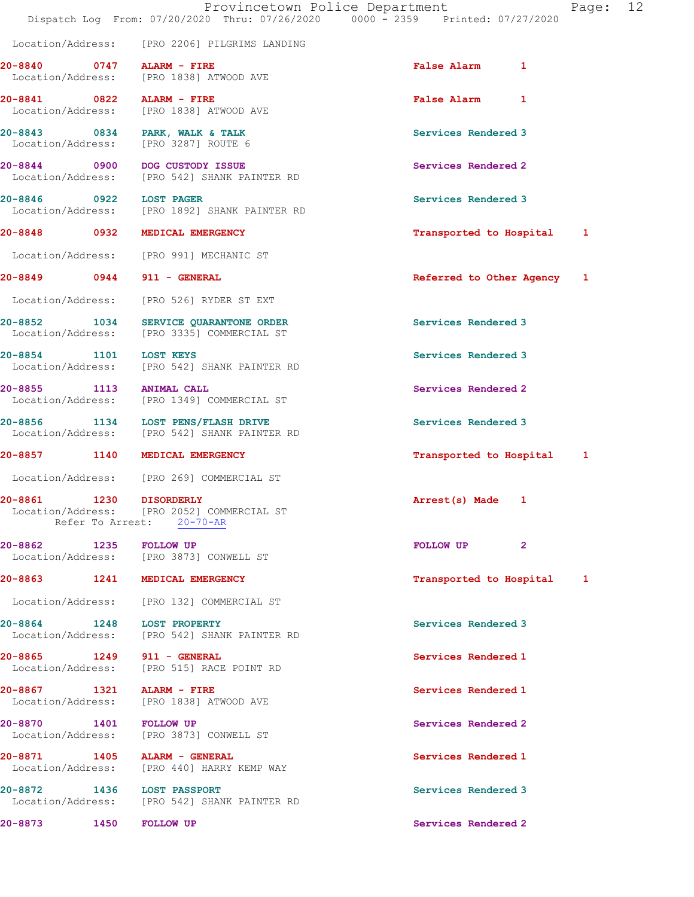|                                                                         |                                                | Provincetown Police Department<br>Dispatch Log From: 07/20/2020 Thru: 07/26/2020 0000 - 2359 Printed: 07/27/2020 |                            |              | Page: 12 |  |
|-------------------------------------------------------------------------|------------------------------------------------|------------------------------------------------------------------------------------------------------------------|----------------------------|--------------|----------|--|
|                                                                         |                                                | Location/Address: [PRO 2206] PILGRIMS LANDING                                                                    |                            |              |          |  |
| 20-8840 0747 ALARM - FIRE<br>Location/Address: [PRO 1838] ATWOOD AVE    |                                                |                                                                                                                  | <b>False Alarm</b>         | $\mathbf{1}$ |          |  |
| 20-8841 0822 ALARM - FIRE<br>Location/Address: [PRO 1838] ATWOOD AVE    |                                                |                                                                                                                  | False Alarm 1              |              |          |  |
| 20-8843 0834 PARK, WALK & TALK<br>Location/Address: [PRO 3287] ROUTE 6  |                                                |                                                                                                                  | Services Rendered 3        |              |          |  |
| 20-8844 0900 DOG CUSTODY ISSUE                                          |                                                | Location/Address: [PRO 542] SHANK PAINTER RD                                                                     | Services Rendered 2        |              |          |  |
| 20-8846 0922 LOST PAGER                                                 |                                                | Location/Address: [PRO 1892] SHANK PAINTER RD                                                                    | Services Rendered 3        |              |          |  |
| 20-8848 0932 MEDICAL EMERGENCY                                          |                                                |                                                                                                                  | Transported to Hospital 1  |              |          |  |
| Location/Address: [PRO 991] MECHANIC ST                                 |                                                |                                                                                                                  |                            |              |          |  |
| 20-8849 0944 911 - GENERAL                                              |                                                |                                                                                                                  | Referred to Other Agency 1 |              |          |  |
| Location/Address: [PRO 526] RYDER ST EXT                                |                                                |                                                                                                                  |                            |              |          |  |
| 20-8852<br>Location/Address: [PRO 3335] COMMERCIAL ST                   |                                                | 1034 SERVICE QUARANTONE ORDER                                                                                    | Services Rendered 3        |              |          |  |
| 20-8854 1101 LOST KEYS                                                  |                                                | Location/Address: [PRO 542] SHANK PAINTER RD                                                                     | Services Rendered 3        |              |          |  |
| 20-8855 1113 ANIMAL CALL<br>Location/Address: [PRO 1349] COMMERCIAL ST  |                                                |                                                                                                                  | Services Rendered 2        |              |          |  |
| 20-8856 1134 LOST PENS/FLASH DRIVE                                      |                                                | Location/Address: [PRO 542] SHANK PAINTER RD                                                                     | Services Rendered 3        |              |          |  |
| 20-8857 1140 MEDICAL EMERGENCY                                          |                                                |                                                                                                                  | Transported to Hospital 1  |              |          |  |
| Location/Address: [PRO 269] COMMERCIAL ST                               |                                                |                                                                                                                  |                            |              |          |  |
| 20-8861<br>$\overline{1230}$                                            | <b>DISORDERLY</b><br>Refer To Arrest: 20-70-AR | Location/Address: [PRO 2052] COMMERCIAL ST                                                                       | Arrest(s) Made 1           |              |          |  |
| 20-8862 1235 FOLLOW UP<br>Location/Address: [PRO 3873] CONWELL ST       |                                                |                                                                                                                  | FOLLOW UP                  | $\mathbf{2}$ |          |  |
| 20-8863                                                                 | 1241 MEDICAL EMERGENCY                         |                                                                                                                  | Transported to Hospital 1  |              |          |  |
| Location/Address: [PRO 132] COMMERCIAL ST                               |                                                |                                                                                                                  |                            |              |          |  |
| 20-8864 1248 LOST PROPERTY                                              |                                                | Location/Address: [PRO 542] SHANK PAINTER RD                                                                     | Services Rendered 3        |              |          |  |
| 20-8865 1249 911 - GENERAL<br>Location/Address: [PRO 515] RACE POINT RD |                                                |                                                                                                                  | Services Rendered 1        |              |          |  |
| 20-8867 1321 ALARM - FIRE<br>Location/Address:                          |                                                | [PRO 1838] ATWOOD AVE                                                                                            | Services Rendered 1        |              |          |  |
| 20-8870<br>Location/Address: [PRO 3873] CONWELL ST                      | 1401 FOLLOW UP                                 |                                                                                                                  | Services Rendered 2        |              |          |  |
| 20-8871 1405 ALARM - GENERAL                                            |                                                | Location/Address: [PRO 440] HARRY KEMP WAY                                                                       | Services Rendered 1        |              |          |  |
| 20-8872                                                                 | 1436 LOST PASSPORT                             | Location/Address: [PRO 542] SHANK PAINTER RD                                                                     | Services Rendered 3        |              |          |  |
| 20-8873                                                                 | 1450<br><b>FOLLOW UP</b>                       |                                                                                                                  | Services Rendered 2        |              |          |  |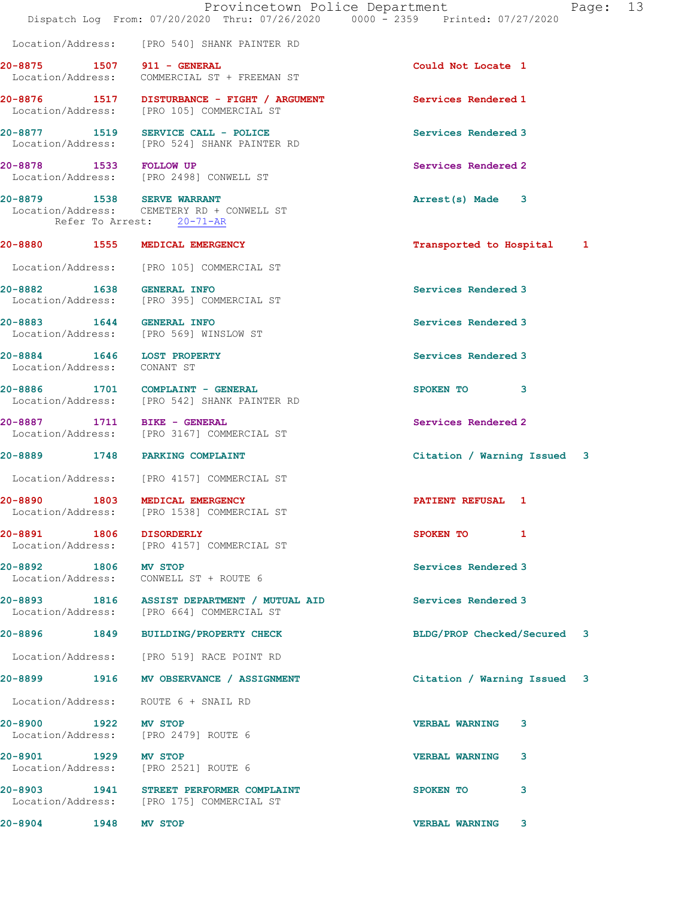|                                                           | Provincetown Police Department<br>Dispatch Log From: 07/20/2020 Thru: 07/26/2020 0000 - 2359 Printed: 07/27/2020 | Page: 13                    |
|-----------------------------------------------------------|------------------------------------------------------------------------------------------------------------------|-----------------------------|
|                                                           | Location/Address: [PRO 540] SHANK PAINTER RD                                                                     |                             |
|                                                           | 20-8875 1507 911 - GENERAL<br>Location/Address: COMMERCIAL ST + FREEMAN ST                                       | Could Not Locate 1          |
|                                                           |                                                                                                                  | Services Rendered 1         |
|                                                           | 20-8877 1519 SERVICE CALL - POLICE<br>Location/Address: [PRO 524] SHANK PAINTER RD                               | Services Rendered 3         |
| 20-8878 1533 FOLLOW UP                                    | Location/Address: [PRO 2498] CONWELL ST                                                                          | Services Rendered 2         |
| 20-8879 1538 SERVE WARRANT                                | Location/Address: CEMETERY RD + CONWELL ST<br>Refer To Arrest: 20-71-AR                                          | Arrest(s) Made 3            |
|                                                           | 20-8880 1555 MEDICAL EMERGENCY                                                                                   | Transported to Hospital 1   |
|                                                           | Location/Address: [PRO 105] COMMERCIAL ST                                                                        |                             |
| 20-8882 1638 GENERAL INFO                                 | Location/Address: [PRO 395] COMMERCIAL ST                                                                        | Services Rendered 3         |
| 20-8883 1644 GENERAL INFO                                 | Location/Address: [PRO 569] WINSLOW ST                                                                           | Services Rendered 3         |
| 20-8884 1646 LOST PROPERTY<br>Location/Address: CONANT ST |                                                                                                                  | Services Rendered 3         |
|                                                           | 20-8886 1701 COMPLAINT - GENERAL<br>Location/Address: [PRO 542] SHANK PAINTER RD                                 | SPOKEN TO 3                 |
| 20-8887 1711 BIKE - GENERAL                               | Location/Address: [PRO 3167] COMMERCIAL ST                                                                       | Services Rendered 2         |
|                                                           | 20-8889 1748 PARKING COMPLAINT                                                                                   | Citation / Warning Issued 3 |
|                                                           | Location/Address: [PRO 4157] COMMERCIAL ST                                                                       |                             |
| 1803<br>20-8890                                           | MEDICAL EMERGENCY<br>Location/Address: [PRO 1538] COMMERCIAL ST                                                  | PATIENT REFUSAL 1           |
|                                                           | 20-8891 1806 DISORDERLY<br>Location/Address: [PRO 4157] COMMERCIAL ST                                            | SPOKEN TO 1                 |
| 20-8892 1806 MV STOP                                      | Location/Address: CONWELL ST + ROUTE 6                                                                           | Services Rendered 3         |
|                                                           | 20-8893 1816 ASSIST DEPARTMENT / MUTUAL AID<br>Location/Address: [PRO 664] COMMERCIAL ST                         | Services Rendered 3         |
|                                                           | 20-8896 1849 BUILDING/PROPERTY CHECK                                                                             | BLDG/PROP Checked/Secured 3 |
|                                                           | Location/Address: [PRO 519] RACE POINT RD                                                                        |                             |
|                                                           | 20-8899 1916 MV OBSERVANCE / ASSIGNMENT                                                                          | Citation / Warning Issued 3 |
|                                                           | Location/Address: ROUTE 6 + SNAIL RD                                                                             |                             |
| 20-8900 1922 MV STOP                                      | Location/Address: [PRO 2479] ROUTE 6                                                                             | <b>VERBAL WARNING</b><br>3  |
| 20-8901 1929 MV STOP                                      | Location/Address: [PRO 2521] ROUTE 6                                                                             | <b>VERBAL WARNING</b><br>3  |
|                                                           | 20-8903 1941 STREET PERFORMER COMPLAINT<br>Location/Address: [PRO 175] COMMERCIAL ST                             | 3<br>SPOKEN TO              |
| 20-8904 1948                                              | MV STOP                                                                                                          | <b>VERBAL WARNING</b><br>3. |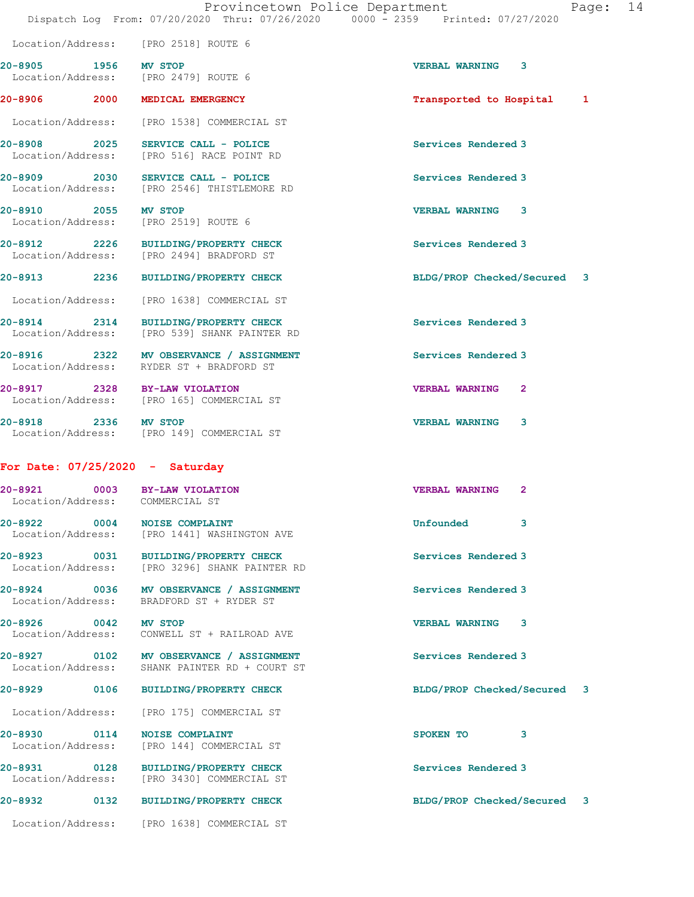Location/Address: [PRO 2518] ROUTE 6 20-8905 1956 MV STOP VERBAL WARNING 3 Location/Address: [PRO 2479] ROUTE 6 20-8906 2000 MEDICAL EMERGENCY **12000 2000 12000 12000 12000 12000** 12000 12000 12000 12000 12000 12000 12000 12 Location/Address: [PRO 1538] COMMERCIAL ST 20-8908 2025 SERVICE CALL - POLICE SERVICE SERVICE SERVICE SERVICE SERVICE SERVICE SERVICE SERVICE SERVICE SE<br>
Services Rendered 3<br>
Services Rendered 3 [PRO 516] RACE POINT RD 20-8909 2030 SERVICE CALL - POLICE Services Rendered 3 Location/Address: [PRO 2546] THISTLEMORE RD 20-8910 2055 MV STOP VERBAL WARNING 3 Location/Address: [PRO 2519] ROUTE 6 20-8912 2226 BUILDING/PROPERTY CHECK Services Rendered 3 [PRO 2494] BRADFORD ST 20-8913 2236 BUILDING/PROPERTY CHECK BLDG/PROP Checked/Secured 3 Location/Address: [PRO 1638] COMMERCIAL ST 20-8914 2314 BUILDING/PROPERTY CHECK Services Rendered 3<br>
Location/Address: [PRO 539] SHANK PAINTER RD [PRO 539] SHANK PAINTER RD 20-8916 2322 MV OBSERVANCE / ASSIGNMENT Services Rendered 3 Location/Address: RYDER ST + BRADFORD ST 20-8917 2328 BY-LAW VIOLATION VERBAL WARNING 2 Location/Address: [PRO 165] COMMERCIAL ST 20-8918 2336 MV STOP VERBAL WARNING 3 Location/Address: [PRO 149] COMMERCIAL ST For Date: 07/25/2020 - Saturday 20-8921 0003 BY-LAW VIOLATION VERBAL WARNING 2 Location/Address: COMMERCIAL ST 20-8922 0004 NOISE COMPLAINT Unfounded 3 Location/Address: [PRO 1441] WASHINGTON AVE 20-8923 0031 BUILDING/PROPERTY CHECK Services Rendered 3 Location/Address: [PRO 3296] SHANK PAINTER RD 20-8924 0036 MV OBSERVANCE / ASSIGNMENT Services Rendered 3 Location/Address: BRADFORD ST + RYDER ST 20-8926 0042 MV STOP VERBAL WARNING 3 CONWELL ST + RAILROAD AVE 20-8927 0102 MV OBSERVANCE / ASSIGNMENT Services Rendered 3 Location/Address: SHANK PAINTER RD + COURT ST 20-8929 0106 BUILDING/PROPERTY CHECK BLDG/PROP Checked/Secured 3 Location/Address: [PRO 175] COMMERCIAL ST 20-8930 0114 NOISE COMPLAINT SPOKEN TO 3 Location/Address: [PRO 144] COMMERCIAL ST 20-8931 0128 BUILDING/PROPERTY CHECK Services Rendered 3

Location/Address: [PRO 3430] COMMERCIAL ST

Location/Address: [PRO 1638] COMMERCIAL ST

20-8932 0132 BUILDING/PROPERTY CHECK BLDG/PROP Checked/Secured 3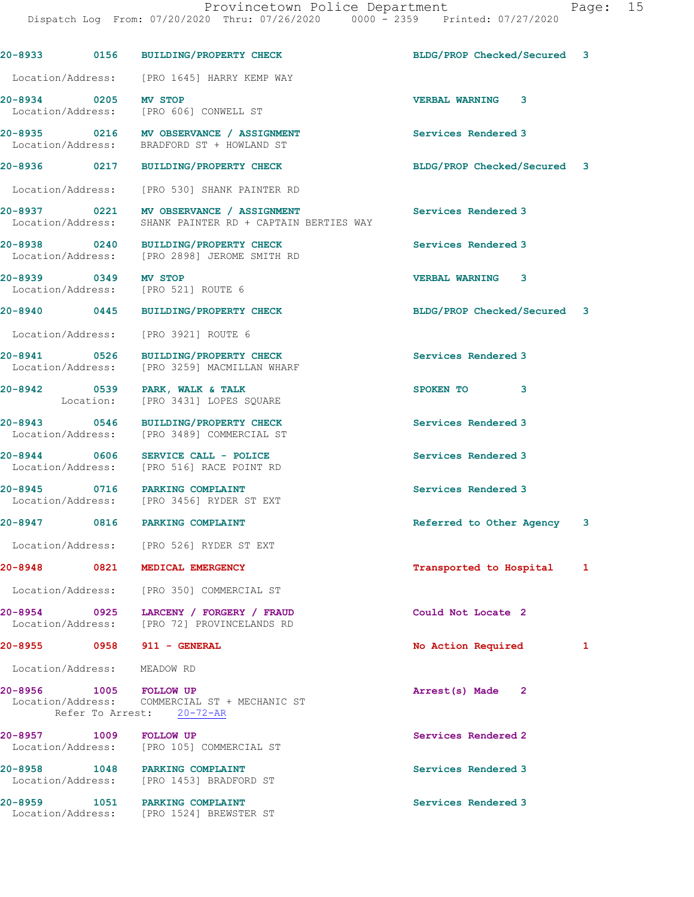|                             | 20-8933 0156 BUILDING/PROPERTY CHECK                                                                | BLDG/PROP Checked/Secured 3 |   |
|-----------------------------|-----------------------------------------------------------------------------------------------------|-----------------------------|---|
|                             | Location/Address: [PRO 1645] HARRY KEMP WAY                                                         |                             |   |
| 20-8934 0205 MV STOP        | Location/Address: [PRO 606] CONWELL ST                                                              | <b>VERBAL WARNING 3</b>     |   |
|                             | 20-8935 0216 MV OBSERVANCE / ASSIGNMENT<br>Location/Address: BRADFORD ST + HOWLAND ST               | Services Rendered 3         |   |
|                             | 20-8936 0217 BUILDING/PROPERTY CHECK                                                                | BLDG/PROP Checked/Secured 3 |   |
|                             | Location/Address: [PRO 530] SHANK PAINTER RD                                                        |                             |   |
|                             | 20-8937 0221 MV OBSERVANCE / ASSIGNMENT<br>Location/Address: SHANK PAINTER RD + CAPTAIN BERTIES WAY | Services Rendered 3         |   |
|                             | 20-8938 0240 BUILDING/PROPERTY CHECK<br>Location/Address: [PRO 2898] JEROME SMITH RD                | Services Rendered 3         |   |
|                             | 20-8939 0349 MV STOP<br>Location/Address: [PRO 521] ROUTE 6                                         | VERBAL WARNING 3            |   |
|                             | 20-8940 0445 BUILDING/PROPERTY CHECK                                                                | BLDG/PROP Checked/Secured 3 |   |
|                             | Location/Address: [PRO 3921] ROUTE 6                                                                |                             |   |
| 20-8941 0526                | BUILDING/PROPERTY CHECK<br>Location/Address: [PRO 3259] MACMILLAN WHARF                             | Services Rendered 3         |   |
|                             | 20-8942 0539 PARK, WALK & TALK<br>Location: [PRO 3431] LOPES SQUARE                                 | SPOKEN TO 3                 |   |
|                             | 20-8943 0546 BUILDING/PROPERTY CHECK<br>Location/Address: [PRO 3489] COMMERCIAL ST                  | Services Rendered 3         |   |
| 20-8944 0606                | SERVICE CALL - POLICE<br>Location/Address: [PRO 516] RACE POINT RD                                  | Services Rendered 3         |   |
|                             | 20-8945 0716 PARKING COMPLAINT<br>Location/Address: [PRO 3456] RYDER ST EXT                         | Services Rendered 3         |   |
|                             | 20-8947 0816 PARKING COMPLAINT                                                                      | Referred to Other Agency    | 3 |
|                             | Location/Address: [PRO 526] RYDER ST EXT                                                            |                             |   |
| 20-8948                     | 0821 MEDICAL EMERGENCY                                                                              | Transported to Hospital     | 1 |
|                             | Location/Address: [PRO 350] COMMERCIAL ST                                                           |                             |   |
| 20-8954 0925                | LARCENY / FORGERY / FRAUD<br>Location/Address: [PRO 72] PROVINCELANDS RD                            | Could Not Locate 2          |   |
|                             | 20-8955 0958 911 - GENERAL                                                                          | No Action Required          | 1 |
| Location/Address: MEADOW RD |                                                                                                     |                             |   |
| 20-8956 1005 FOLLOW UP      | Location/Address: COMMERCIAL ST + MECHANIC ST<br>Refer To Arrest: 20-72-AR                          | Arrest(s) Made 2            |   |
| 20-8957 1009                | <b>FOLLOW UP</b><br>Location/Address: [PRO 105] COMMERCIAL ST                                       | Services Rendered 2         |   |
|                             | 20-8958 1048 PARKING COMPLAINT<br>Location/Address: [PRO 1453] BRADFORD ST                          | Services Rendered 3         |   |
|                             | 20-8959 1051 PARKING COMPLAINT<br>Location/Address: [PRO 1524] BREWSTER ST                          | Services Rendered 3         |   |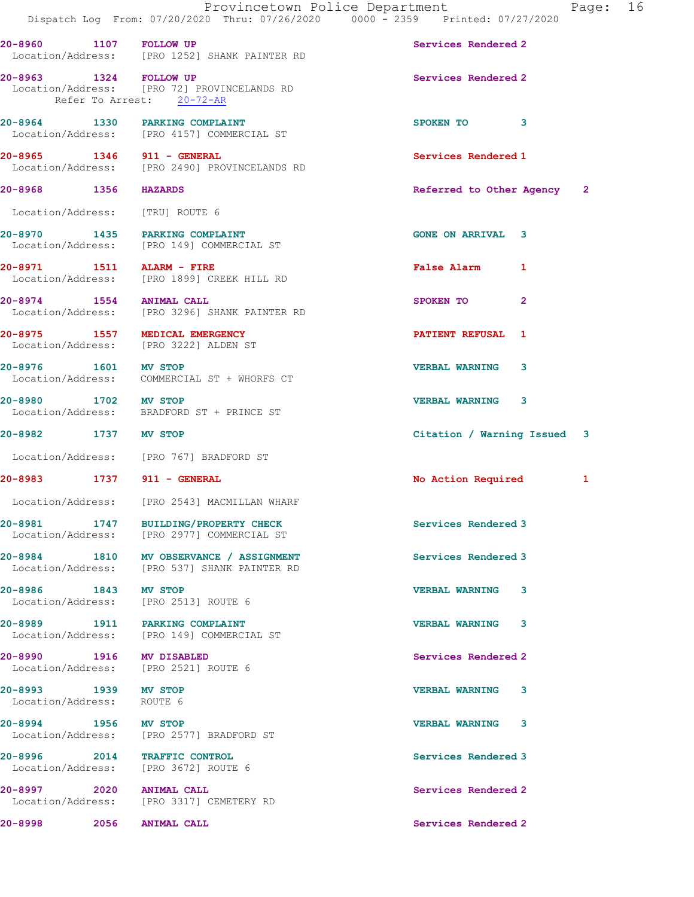|                                                   | Provincetown Police Department<br>Dispatch Log From: 07/20/2020 Thru: 07/26/2020 0000 - 2359 Printed: 07/27/2020 |                             |              | Page: 16 |  |
|---------------------------------------------------|------------------------------------------------------------------------------------------------------------------|-----------------------------|--------------|----------|--|
| 20-8960 1107 FOLLOW UP                            | Location/Address: [PRO 1252] SHANK PAINTER RD                                                                    | Services Rendered 2         |              |          |  |
| 20-8963 1324 FOLLOW UP                            | Location/Address: [PRO 72] PROVINCELANDS RD<br>Refer To Arrest: 20-72-AR                                         | Services Rendered 2         |              |          |  |
|                                                   | 20-8964 1330 PARKING COMPLAINT<br>Location/Address: [PRO 4157] COMMERCIAL ST                                     | SPOKEN TO 3                 |              |          |  |
| 20-8965 1346 911 - GENERAL                        | Location/Address: [PRO 2490] PROVINCELANDS RD                                                                    | Services Rendered 1         |              |          |  |
| 20-8968 1356 HAZARDS                              |                                                                                                                  | Referred to Other Agency 2  |              |          |  |
| Location/Address: [TRU] ROUTE 6                   |                                                                                                                  |                             |              |          |  |
|                                                   | 20-8970 1435 PARKING COMPLAINT<br>Location/Address: [PRO 149] COMMERCIAL ST                                      | <b>GONE ON ARRIVAL 3</b>    |              |          |  |
| 20-8971 1511 ALARM - FIRE                         | Location/Address: [PRO 1899] CREEK HILL RD                                                                       | False Alarm 1               |              |          |  |
|                                                   | 20-8974 1554 ANIMAL CALL<br>Location/Address: [PRO 3296] SHANK PAINTER RD                                        | SPOKEN TO                   | $\mathbf{2}$ |          |  |
|                                                   | 20-8975 1557 MEDICAL EMERGENCY<br>Location/Address: [PRO 3222] ALDEN ST                                          | PATIENT REFUSAL 1           |              |          |  |
| 20-8976 1601 MV STOP                              | Location/Address: COMMERCIAL ST + WHORFS CT                                                                      | <b>VERBAL WARNING 3</b>     |              |          |  |
| 20-8980 1702 MV STOP                              | Location/Address: BRADFORD ST + PRINCE ST                                                                        | <b>VERBAL WARNING 3</b>     |              |          |  |
| 20-8982 1737 MV STOP                              |                                                                                                                  | Citation / Warning Issued 3 |              |          |  |
|                                                   | Location/Address: [PRO 767] BRADFORD ST                                                                          |                             |              |          |  |
| 20-8983 1737 911 - GENERAL                        |                                                                                                                  | No Action Required          |              | 1        |  |
|                                                   | Location/Address: [PRO 2543] MACMILLAN WHARF                                                                     |                             |              |          |  |
|                                                   | 20-8981 1747 BUILDING/PROPERTY CHECK<br>Location/Address: [PRO 2977] COMMERCIAL ST                               | Services Rendered 3         |              |          |  |
|                                                   | 20-8984 1810 MV OBSERVANCE / ASSIGNMENT<br>Location/Address: [PRO 537] SHANK PAINTER RD                          | Services Rendered 3         |              |          |  |
| 20-8986 1843 MV STOP                              | Location/Address: [PRO 2513] ROUTE 6                                                                             | <b>VERBAL WARNING 3</b>     |              |          |  |
|                                                   | 20-8989 1911 PARKING COMPLAINT<br>Location/Address: [PRO 149] COMMERCIAL ST                                      | <b>VERBAL WARNING</b>       | 3            |          |  |
| 20-8990 1916 MV DISABLED                          | Location/Address: [PRO 2521] ROUTE 6                                                                             | Services Rendered 2         |              |          |  |
| 20-8993 1939 MV STOP<br>Location/Address: ROUTE 6 |                                                                                                                  | VERBAL WARNING 3            |              |          |  |
| 20-8994 1956 MV STOP                              | Location/Address: [PRO 2577] BRADFORD ST                                                                         | <b>VERBAL WARNING 3</b>     |              |          |  |
|                                                   | 20-8996 2014 TRAFFIC CONTROL<br>Location/Address: [PRO 3672] ROUTE 6                                             | Services Rendered 3         |              |          |  |
| 20-8997 2020 ANIMAL CALL                          | Location/Address: [PRO 3317] CEMETERY RD                                                                         | Services Rendered 2         |              |          |  |
| 20-8998                                           | 2056 ANIMAL CALL                                                                                                 | Services Rendered 2         |              |          |  |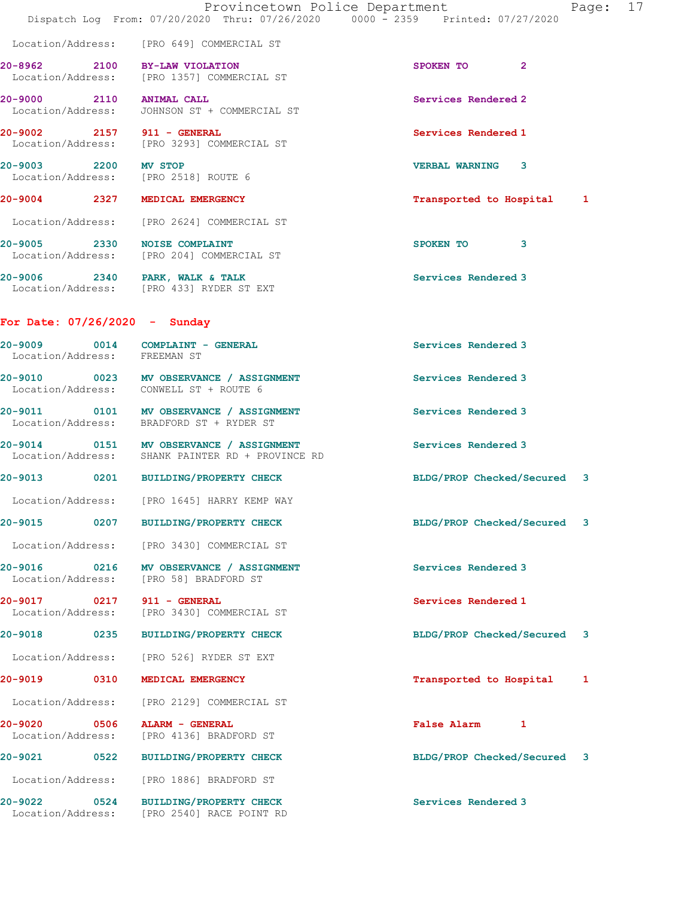|                                          | Dispatch Log From: 07/20/2020 Thru: 07/26/2020 0000 - 2359 Printed: 07/27/2020              | Provincetown Police Department<br>17<br>Page: |
|------------------------------------------|---------------------------------------------------------------------------------------------|-----------------------------------------------|
|                                          | Location/Address: [PRO 649] COMMERCIAL ST                                                   |                                               |
| 20-8962 2100 BY-LAW VIOLATION            | Location/Address: [PRO 1357] COMMERCIAL ST                                                  | SPOKEN TO 2                                   |
| 20-9000 2110 ANIMAL CALL                 | Location/Address: JOHNSON ST + COMMERCIAL ST                                                | Services Rendered 2                           |
| 20-9002 2157 911 - GENERAL               | Location/Address: [PRO 3293] COMMERCIAL ST                                                  | Services Rendered 1                           |
| 20-9003 2200 MV STOP                     | Location/Address: [PRO 2518] ROUTE 6                                                        | VERBAL WARNING 3                              |
| 20-9004 2327 MEDICAL EMERGENCY           |                                                                                             | Transported to Hospital 1                     |
|                                          | Location/Address: [PRO 2624] COMMERCIAL ST                                                  |                                               |
|                                          | 20-9005 2330 NOISE COMPLAINT<br>Location/Address: [PRO 204] COMMERCIAL ST                   | SPOKEN TO 3                                   |
|                                          | 20-9006 2340 PARK, WALK & TALK<br>Location/Address: [PRO 433] RYDER ST EXT                  | Services Rendered 3                           |
| For Date: $07/26/2020 -$ Sunday          |                                                                                             |                                               |
| Location/Address: FREEMAN ST             | 20-9009 0014 COMPLAINT - GENERAL                                                            | Services Rendered 3                           |
|                                          | 20-9010 0023 MV OBSERVANCE / ASSIGNMENT<br>Location/Address: CONWELL ST + ROUTE 6           | Services Rendered 3                           |
|                                          | 20-9011 0101 MV OBSERVANCE / ASSIGNMENT<br>Location/Address: BRADFORD ST + RYDER ST         | Services Rendered 3                           |
|                                          | 20-9014 0151 MV OBSERVANCE / ASSIGNMENT<br>Location/Address: SHANK PAINTER RD + PROVINCE RD | Services Rendered 3                           |
|                                          | 20-9013 0201 BUILDING/PROPERTY CHECK                                                        | BLDG/PROP Checked/Secured 3                   |
|                                          | Location/Address: [PRO 1645] HARRY KEMP WAY                                                 |                                               |
| 20-9015                                  | 0207 BUILDING/PROPERTY CHECK                                                                | BLDG/PROP Checked/Secured 3                   |
| Location/Address:                        | [PRO 3430] COMMERCIAL ST                                                                    |                                               |
| 20-9016 0216<br>Location/Address:        | MV OBSERVANCE / ASSIGNMENT<br>[PRO 58] BRADFORD ST                                          | Services Rendered 3                           |
| 0217<br>20-9017<br>Location/Address:     | 911 - GENERAL<br>[PRO 3430] COMMERCIAL ST                                                   | Services Rendered 1                           |
| 20-9018<br>0235                          | <b>BUILDING/PROPERTY CHECK</b>                                                              | BLDG/PROP Checked/Secured 3                   |
| Location/Address:                        | [PRO 526] RYDER ST EXT                                                                      |                                               |
| 20-9019 0310                             | MEDICAL EMERGENCY                                                                           | Transported to Hospital<br>1                  |
| Location/Address:                        | [PRO 2129] COMMERCIAL ST                                                                    |                                               |
| $20 - 9020$<br>0506<br>Location/Address: | ALARM - GENERAL<br>[PRO 4136] BRADFORD ST                                                   | False Alarm 1                                 |
| 20-9021<br>0522                          | <b>BUILDING/PROPERTY CHECK</b>                                                              | BLDG/PROP Checked/Secured 3                   |
| Location/Address:                        | [PRO 1886] BRADFORD ST                                                                      |                                               |
| 20-9022<br>0524                          | <b>BUILDING/PROPERTY CHECK</b><br>Location/Address: [PRO 2540] RACE POINT RD                | Services Rendered 3                           |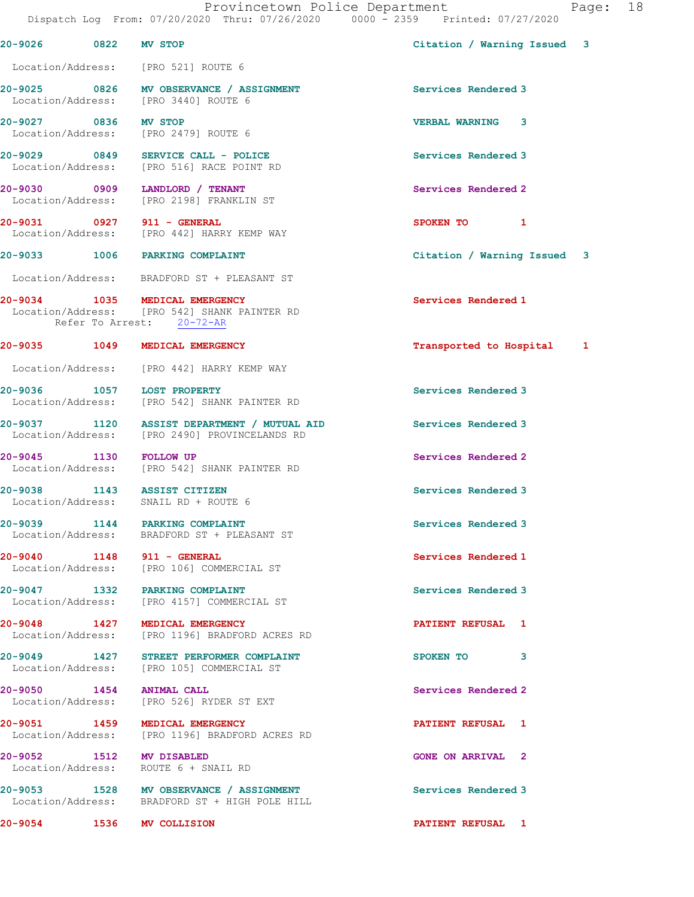Page: 18

|                                                                  |                                                                                              | Provincetown Police Department<br>Pac<br>Dispatch Log From: 07/20/2020 Thru: 07/26/2020 0000 - 2359 Printed: 07/27/2020 |
|------------------------------------------------------------------|----------------------------------------------------------------------------------------------|-------------------------------------------------------------------------------------------------------------------------|
| 20-9026 0822 MV STOP                                             |                                                                                              | Citation / Warning Issued 3                                                                                             |
| Location/Address: [PRO 521] ROUTE 6                              |                                                                                              |                                                                                                                         |
|                                                                  | 20-9025 0826 MV OBSERVANCE / ASSIGNMENT<br>Location/Address: [PRO 3440] ROUTE 6              | Services Rendered 3                                                                                                     |
| 20-9027 0836 MV STOP<br>Location/Address: [PRO 2479] ROUTE 6     |                                                                                              | <b>VERBAL WARNING 3</b>                                                                                                 |
|                                                                  | 20-9029 0849 SERVICE CALL - POLICE<br>Location/Address: [PRO 516] RACE POINT RD              | Services Rendered 3                                                                                                     |
| 20-9030 0909 LANDLORD / TENANT                                   | Location/Address: [PRO 2198] FRANKLIN ST                                                     | Services Rendered 2                                                                                                     |
| 20-9031 0927 911 - GENERAL                                       | Location/Address: [PRO 442] HARRY KEMP WAY                                                   | SPOKEN TO 1                                                                                                             |
| 20-9033 1006 PARKING COMPLAINT                                   |                                                                                              | Citation / Warning Issued 3                                                                                             |
|                                                                  | Location/Address: BRADFORD ST + PLEASANT ST                                                  |                                                                                                                         |
| 20-9034 1035 MEDICAL EMERGENCY<br>Refer To Arrest: 20-72-AR      | Location/Address: [PRO 542] SHANK PAINTER RD                                                 | Services Rendered 1                                                                                                     |
| 20-9035 1049 MEDICAL EMERGENCY                                   |                                                                                              | Transported to Hospital<br>1                                                                                            |
|                                                                  | Location/Address: [PRO 442] HARRY KEMP WAY                                                   |                                                                                                                         |
| 20-9036 1057 LOST PROPERTY                                       | Location/Address: [PRO 542] SHANK PAINTER RD                                                 | Services Rendered 3                                                                                                     |
|                                                                  | 20-9037 1120 ASSIST DEPARTMENT / MUTUAL AID<br>Location/Address: [PRO 2490] PROVINCELANDS RD | Services Rendered 3                                                                                                     |
| 20-9045 1130 FOLLOW UP                                           | Location/Address: [PRO 542] SHANK PAINTER RD                                                 | Services Rendered 2                                                                                                     |
| 20-9038<br>Location/Address: SNAIL RD + ROUTE 6                  | 1143 ASSIST CITIZEN                                                                          | Services Rendered 3                                                                                                     |
|                                                                  | 20-9039 1144 PARKING COMPLAINT<br>Location/Address: BRADFORD ST + PLEASANT ST                | Services Rendered 3                                                                                                     |
|                                                                  | 20-9040 1148 911 - GENERAL<br>Location/Address: [PRO 106] COMMERCIAL ST                      | Services Rendered 1                                                                                                     |
| 20-9047 1332 PARKING COMPLAINT                                   | Location/Address: [PRO 4157] COMMERCIAL ST                                                   | Services Rendered 3                                                                                                     |
| 20-9048 1427 MEDICAL EMERGENCY                                   | Location/Address: [PRO 1196] BRADFORD ACRES RD                                               | <b>PATIENT REFUSAL 1</b>                                                                                                |
|                                                                  | 20-9049 1427 STREET PERFORMER COMPLAINT<br>Location/Address: [PRO 105] COMMERCIAL ST         | 3<br>SPOKEN TO                                                                                                          |
| 20-9050 1454 ANIMAL CALL                                         | Location/Address: [PRO 526] RYDER ST EXT                                                     | Services Rendered 2                                                                                                     |
| 20-9051 1459 MEDICAL EMERGENCY                                   | Location/Address: [PRO 1196] BRADFORD ACRES RD                                               | <b>PATIENT REFUSAL 1</b>                                                                                                |
| 20-9052 1512 MV DISABLED<br>Location/Address: ROUTE 6 + SNAIL RD |                                                                                              | <b>GONE ON ARRIVAL 2</b>                                                                                                |
| 20-9053                                                          | 1528 MV OBSERVANCE / ASSIGNMENT                                                              | Services Rendered 3                                                                                                     |

Location/Address: BRADFORD ST + HIGH POLE HILL

20-9054 1536 MV COLLISION PATIENT REFUSAL 1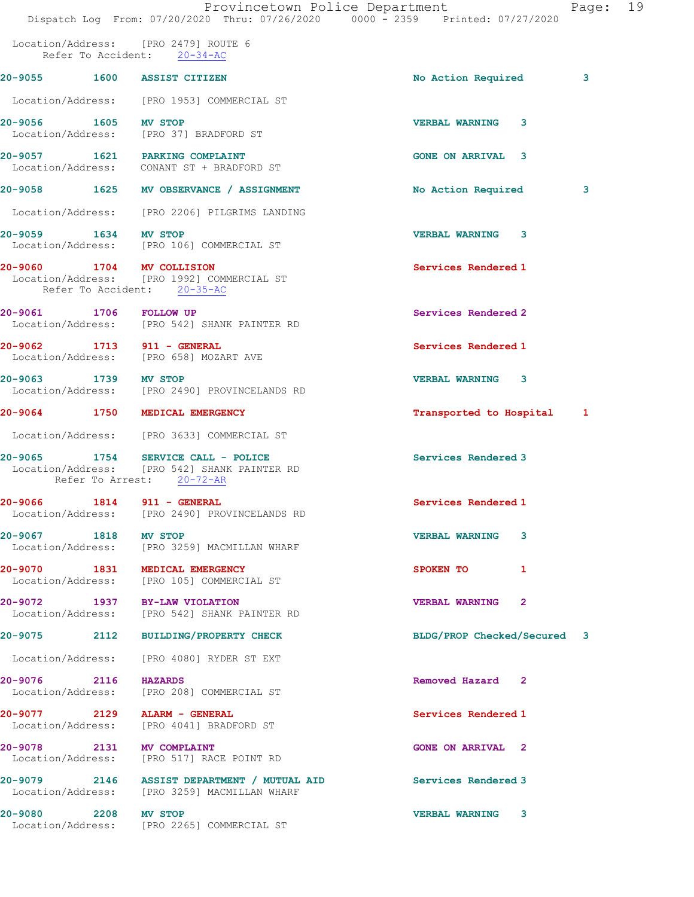|                                   |                   | Provincetown Police Department<br>Dispatch Log From: 07/20/2020 Thru: 07/26/2020 0000 - 2359 Printed: 07/27/2020  |                             | Page: 19 |  |
|-----------------------------------|-------------------|-------------------------------------------------------------------------------------------------------------------|-----------------------------|----------|--|
|                                   |                   | Location/Address: [PRO 2479] ROUTE 6<br>Refer To Accident: 20-34-AC                                               |                             |          |  |
|                                   |                   | 20-9055 1600 ASSIST CITIZEN                                                                                       | No Action Required          | 3        |  |
|                                   |                   | Location/Address: [PRO 1953] COMMERCIAL ST                                                                        |                             |          |  |
| 20-9056 1605 MV STOP              |                   | Location/Address: [PRO 37] BRADFORD ST                                                                            | <b>VERBAL WARNING</b><br>3  |          |  |
|                                   |                   | 20-9057 1621 PARKING COMPLAINT<br>Location/Address: CONANT ST + BRADFORD ST                                       | <b>GONE ON ARRIVAL 3</b>    |          |  |
|                                   |                   | 20-9058 1625 MV OBSERVANCE / ASSIGNMENT                                                                           | No Action Required          | 3        |  |
|                                   |                   | Location/Address: [PRO 2206] PILGRIMS LANDING                                                                     |                             |          |  |
| 20-9059 1634 MV STOP              |                   | Location/Address: [PRO 106] COMMERCIAL ST                                                                         | <b>VERBAL WARNING 3</b>     |          |  |
|                                   |                   | 20-9060 1704 MV COLLISION<br>Location/Address: [PRO 1992] COMMERCIAL ST<br>Refer To Accident: 20-35-AC            | Services Rendered 1         |          |  |
| 20-9061 1706 FOLLOW UP            |                   | Location/Address: [PRO 542] SHANK PAINTER RD                                                                      | Services Rendered 2         |          |  |
|                                   |                   | 20-9062 1713 911 - GENERAL<br>Location/Address: [PRO 658] MOZART AVE                                              | Services Rendered 1         |          |  |
| 20-9063 1739 MV STOP              |                   | Location/Address: [PRO 2490] PROVINCELANDS RD                                                                     | <b>VERBAL WARNING 3</b>     |          |  |
|                                   |                   | 20-9064 1750 MEDICAL EMERGENCY                                                                                    | Transported to Hospital 1   |          |  |
|                                   |                   | Location/Address: [PRO 3633] COMMERCIAL ST                                                                        |                             |          |  |
|                                   |                   | 20-9065 1754 SERVICE CALL - POLICE<br>Location/Address: [PRO 542] SHANK PAINTER RD<br>Refer To Arrest: $20-72-AR$ | Services Rendered 3         |          |  |
| 20-9066                           | Location/Address: | <b>1814 911 - GENERAL</b><br>[PRO 2490] PROVINCELANDS RD                                                          | Services Rendered 1         |          |  |
| 20-9067 1818                      |                   | MV STOP<br>Location/Address: [PRO 3259] MACMILLAN WHARF                                                           | <b>VERBAL WARNING</b><br>3  |          |  |
|                                   |                   | 20-9070 1831 MEDICAL EMERGENCY<br>Location/Address: [PRO 105] COMMERCIAL ST                                       | SPOKEN TO<br>1              |          |  |
|                                   |                   | 20-9072 1937 BY-LAW VIOLATION<br>Location/Address: [PRO 542] SHANK PAINTER RD                                     | VERBAL WARNING 2            |          |  |
| 20-9075 2112                      |                   | <b>BUILDING/PROPERTY CHECK</b>                                                                                    | BLDG/PROP Checked/Secured 3 |          |  |
|                                   |                   | Location/Address: [PRO 4080] RYDER ST EXT                                                                         |                             |          |  |
| 20-9076 2116 HAZARDS              |                   | Location/Address: [PRO 208] COMMERCIAL ST                                                                         | Removed Hazard 2            |          |  |
|                                   |                   | 20-9077 2129 ALARM - GENERAL<br>Location/Address: [PRO 4041] BRADFORD ST                                          | Services Rendered 1         |          |  |
| 20-9078 2131<br>Location/Address: |                   | MV COMPLAINT<br>[PRO 517] RACE POINT RD                                                                           | <b>GONE ON ARRIVAL 2</b>    |          |  |
|                                   |                   | 20-9079 2146 ASSIST DEPARTMENT / MUTUAL AID<br>Location/Address: [PRO 3259] MACMILLAN WHARF                       | Services Rendered 3         |          |  |
| 20-9080 2208 MV STOP              |                   | Location/Address: [PRO 2265] COMMERCIAL ST                                                                        | <b>VERBAL WARNING 3</b>     |          |  |